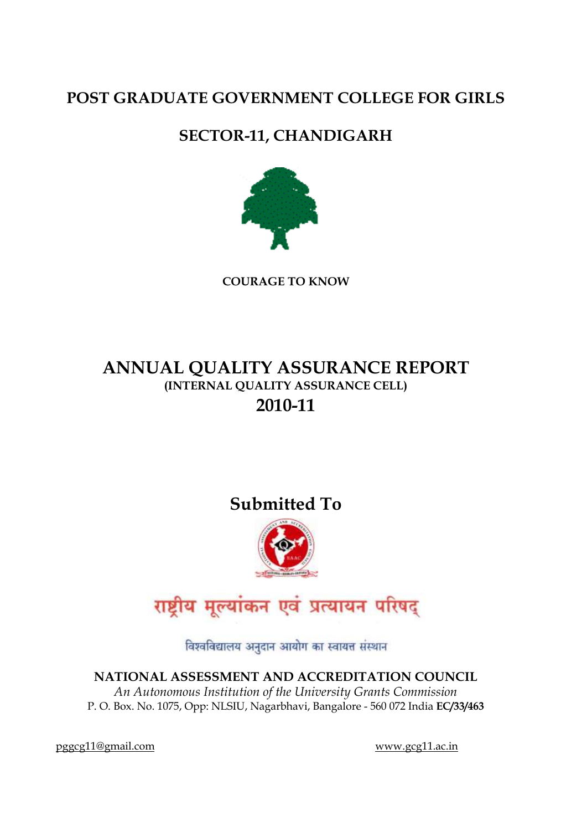# **POST GRADUATE GOVERNMENT COLLEGE FOR GIRLS**

# **SECTOR-11, CHANDIGARH**



**COURAGE TO KNOW**

# **ANNUAL QUALITY ASSURANCE REPORT (INTERNAL QUALITY ASSURANCE CELL) 2010-11**

# **Submitted To**



# राष्ट्रीय मूल्यांकन एवं प्रत्यायन परिषद्

विश्वविद्यालय अनुदान आयोग का स्वायत्त संस्थान

**NATIONAL ASSESSMENT AND ACCREDITATION COUNCIL**

*An Autonomous Institution of the University Grants Commission* P. O. Box. No. 1075, Opp: NLSIU, Nagarbhavi, Bangalore - 560 072 India **EC/33/463**

[pggcg11@gmail.com](mailto:pggcg11@gmail.com) [www.gcg11.ac.in](http://www.gcg11.ac.in/)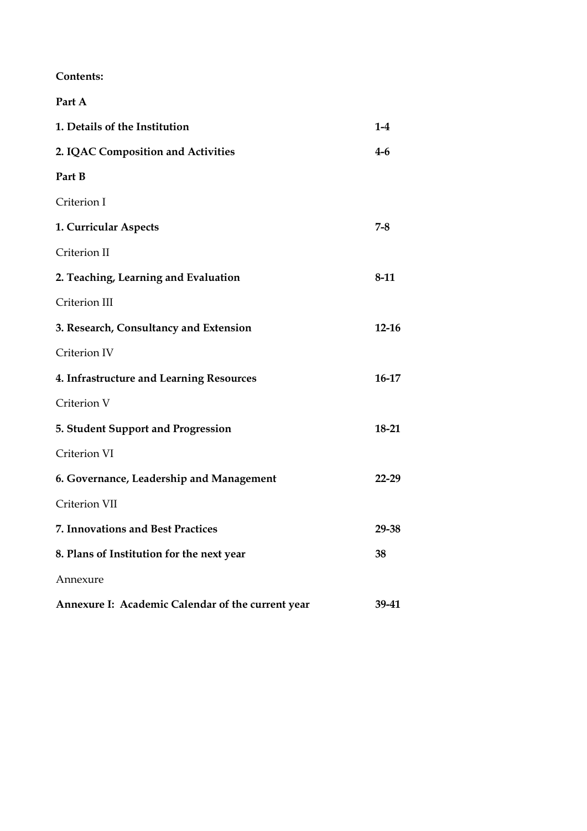**Contents:**

| Part A                                            |           |
|---------------------------------------------------|-----------|
| 1. Details of the Institution                     | $1-4$     |
| 2. IQAC Composition and Activities                | $4-6$     |
| Part B                                            |           |
| Criterion I                                       |           |
| 1. Curricular Aspects                             | $7 - 8$   |
| Criterion II                                      |           |
| 2. Teaching, Learning and Evaluation              | 8-11      |
| Criterion III                                     |           |
| 3. Research, Consultancy and Extension            | $12 - 16$ |
| Criterion IV                                      |           |
| 4. Infrastructure and Learning Resources          | $16-17$   |
| Criterion V                                       |           |
| 5. Student Support and Progression                | 18-21     |
| Criterion VI                                      |           |
| 6. Governance, Leadership and Management          | 22-29     |
| Criterion VII                                     |           |
| 7. Innovations and Best Practices                 | 29-38     |
| 8. Plans of Institution for the next year         | 38        |
| Annexure                                          |           |
| Annexure I: Academic Calendar of the current year | 39-41     |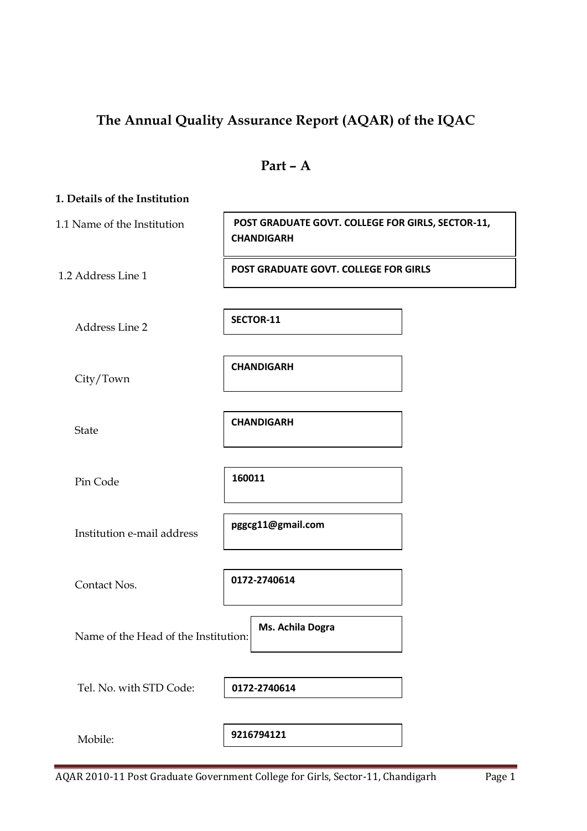# **The Annual Quality Assurance Report (AQAR) of the IQAC**

| ⊣<br>ſ<br>aП |  |
|--------------|--|
|--------------|--|

| 1. Details of the Institution        |                                                                        |
|--------------------------------------|------------------------------------------------------------------------|
| 1.1 Name of the Institution          | POST GRADUATE GOVT. COLLEGE FOR GIRLS, SECTOR-11,<br><b>CHANDIGARH</b> |
| 1.2 Address Line 1                   | POST GRADUATE GOVT. COLLEGE FOR GIRLS                                  |
| Address Line 2                       | SECTOR-11                                                              |
| City/Town                            | <b>CHANDIGARH</b>                                                      |
| <b>State</b>                         | <b>CHANDIGARH</b>                                                      |
| Pin Code                             | 160011                                                                 |
| Institution e-mail address           | pggcg11@gmail.com                                                      |
| Contact Nos.                         | 0172-2740614                                                           |
| Name of the Head of the Institution: | Ms. Achila Dogra                                                       |
| Tel. No. with STD Code:              | 0172-2740614                                                           |
| Mobile:                              | 9216794121                                                             |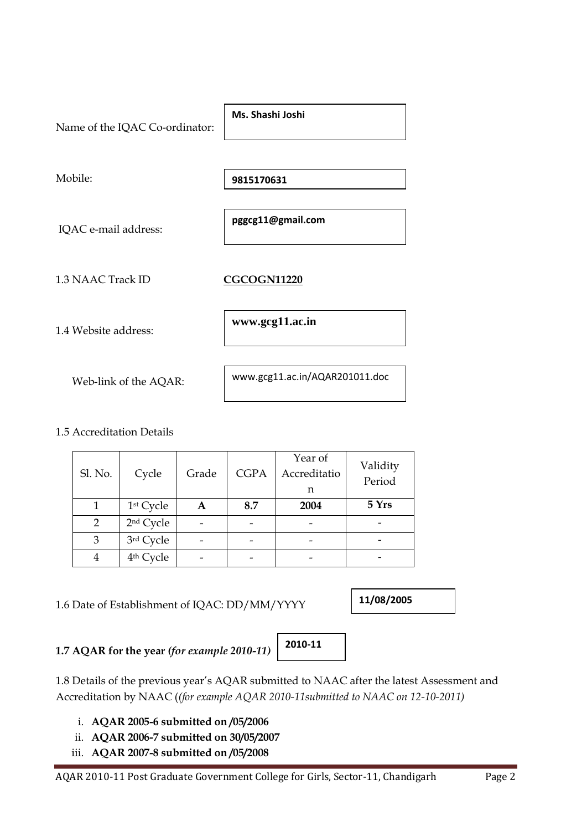

# 1.5 Accreditation Details

| Sl. No. | Cycle                 | Grade | <b>CGPA</b> | Year of<br>Accreditatio<br>n | Validity<br>Period |
|---------|-----------------------|-------|-------------|------------------------------|--------------------|
|         | 1 <sup>st</sup> Cycle | А     | 8.7         | 2004                         | 5 Yrs              |
| 2       | 2 <sup>nd</sup> Cycle |       |             |                              |                    |
| 3       | 3rd Cycle             |       |             |                              |                    |
|         | 4 <sup>th</sup> Cycle |       |             |                              |                    |

1.6 Date of Establishment of IQAC: DD/MM/YYYY

**11/08/2005**

# **1.7 AQAR for the year** *(for example 2010-11)*

1.8 Details of the previous year's AQAR submitted to NAAC after the latest Assessment and Accreditation by NAAC (*(for example AQAR 2010-11submitted to NAAC on 12-10-2011)*

i. **AQAR 2005-6 submitted on /05/2006**

- ii. **AQAR 2006-7 submitted on 30/05/2007**
- iii. **AQAR 2007-8 submitted on /05/2008**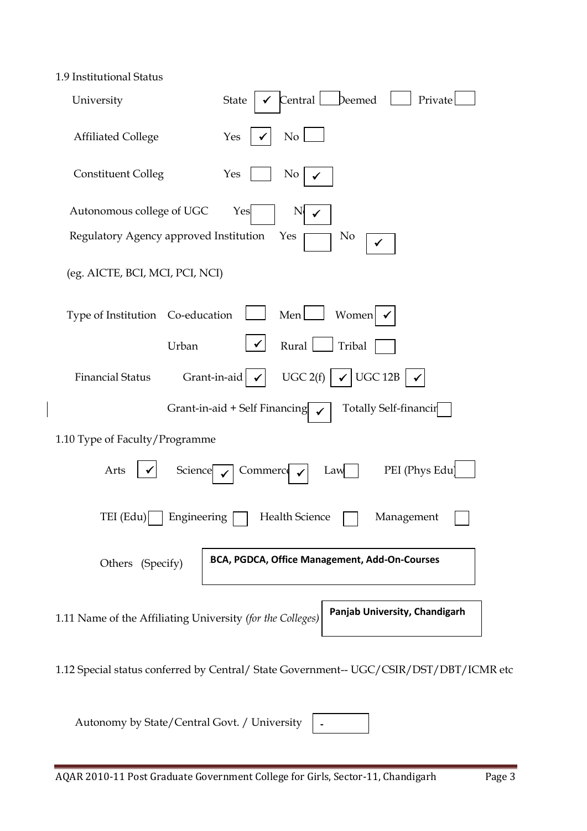| 1.9 Institutional Status                                         |                                                                                        |
|------------------------------------------------------------------|----------------------------------------------------------------------------------------|
| University                                                       | Central Deemed<br>State<br>Private                                                     |
| <b>Affiliated College</b>                                        | No<br>Yes                                                                              |
| <b>Constituent Colleg</b>                                        | Yes<br>No                                                                              |
| Autonomous college of UGC                                        | Yes<br>N                                                                               |
| Regulatory Agency approved Institution                           | No<br>Yes                                                                              |
| (eg. AICTE, BCI, MCI, PCI, NCI)                                  |                                                                                        |
| Type of Institution Co-education                                 | Men[<br>Women                                                                          |
| Urban                                                            | Rural<br>Tribal                                                                        |
| <b>Financial Status</b><br>Grant-in-aid $\vert \checkmark \vert$ | UGC 12B<br>UGC 2(f)                                                                    |
|                                                                  | Grant-in-aid + Self Financing<br>Totally Self-financir                                 |
| 1.10 Type of Faculty/Programme                                   |                                                                                        |
| Arts<br>Science                                                  | PEI (Phys Edu)<br>Commerce<br>Law                                                      |
| TEI (Edu)<br>Engineering                                         | Health Science<br>Management                                                           |
| Others (Specify)                                                 | BCA, PGDCA, Office Management, Add-On-Courses                                          |
| 1.11 Name of the Affiliating University (for the Colleges)       | Panjab University, Chandigarh                                                          |
|                                                                  | 1.12 Special status conferred by Central/ State Government-- UGC/CSIR/DST/DBT/ICMR etc |

**-**

Autonomy by State/Central Govt. / University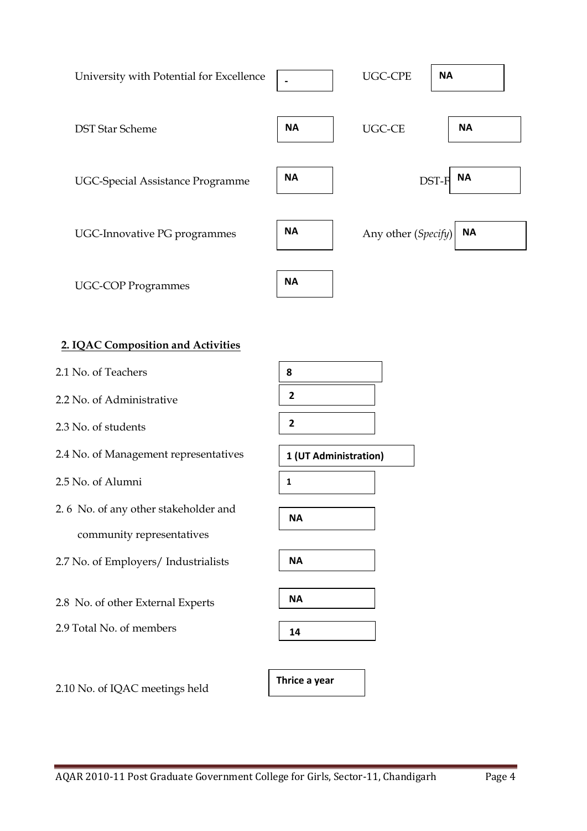

# **2. IQAC Composition and Activities**

- 2.1 No. of Teachers
- 2.2 No. of Administrative
- 2.3 No. of students
- 2.4 No. of Management representatives
- 2.5 No. of Alumni
- 2. 6 No. of any other stakeholder and community representatives
- 2.7 No. of Employers/ Industrialists
- 2.8 No. of other External Experts
- 2.9 Total No. of members













**Thrice a year**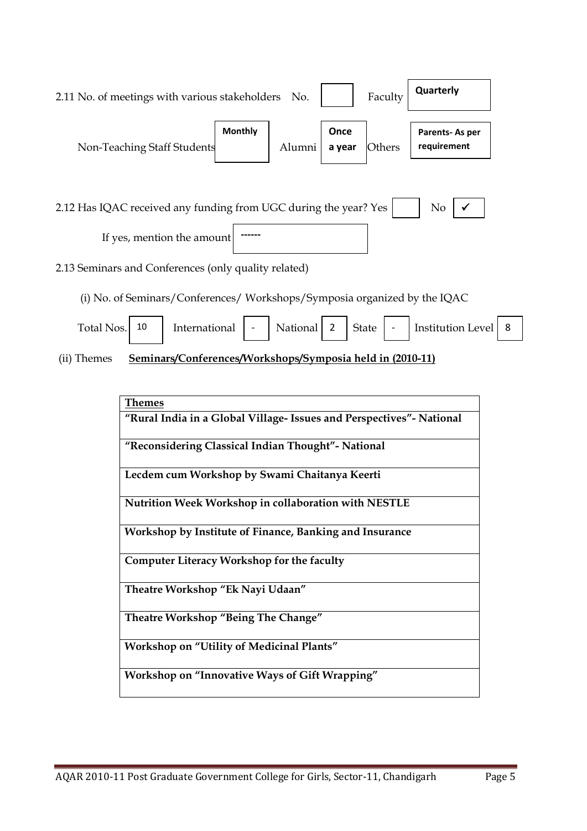| 2.11 No. of meetings with various stakeholders                           |                | No.      |                | Faculty      | Quarterly                     |   |
|--------------------------------------------------------------------------|----------------|----------|----------------|--------------|-------------------------------|---|
| Non-Teaching Staff Students                                              | <b>Monthly</b> | Alumni   | Once<br>a year | Others       | Parents-As per<br>requirement |   |
| 2.12 Has IQAC received any funding from UGC during the year? Yes         |                |          |                |              | N <sub>0</sub>                |   |
| If yes, mention the amount                                               |                |          |                |              |                               |   |
| 2.13 Seminars and Conferences (only quality related)                     |                |          |                |              |                               |   |
| (i) No. of Seminars/Conferences/Workshops/Symposia organized by the IQAC |                |          |                |              |                               |   |
| 10<br>Total Nos.<br>International                                        |                | National | 2              | <b>State</b> | <b>Institution Level</b>      | 8 |

(ii) Themes **Seminars/Conferences/Workshops/Symposia held in (2010-11)**

| <b>Themes</b>                                                        |
|----------------------------------------------------------------------|
| "Rural India in a Global Village- Issues and Perspectives"- National |
| "Reconsidering Classical Indian Thought" - National                  |
| Lecdem cum Workshop by Swami Chaitanya Keerti                        |
| Nutrition Week Workshop in collaboration with NESTLE                 |
| Workshop by Institute of Finance, Banking and Insurance              |
| Computer Literacy Workshop for the faculty                           |
| Theatre Workshop "Ek Nayi Udaan"                                     |
| Theatre Workshop "Being The Change"                                  |
| <b>Workshop on "Utility of Medicinal Plants"</b>                     |
| Workshop on "Innovative Ways of Gift Wrapping"                       |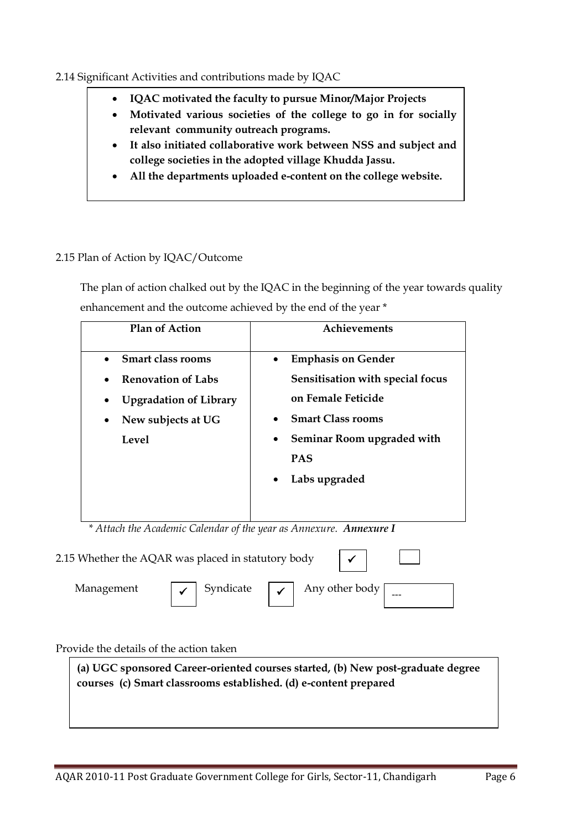# 2.14 Significant Activities and contributions made by IQAC

- **IQAC motivated the faculty to pursue Minor/Major Projects**
- **Motivated various societies of the college to go in for socially relevant community outreach programs.**
- **It also initiated collaborative work between NSS and subject and college societies in the adopted village Khudda Jassu.**
- **All the departments uploaded e-content on the college website.**

# 2.15 Plan of Action by IQAC/Outcome

 The plan of action chalked out by the IQAC in the beginning of the year towards quality enhancement and the outcome achieved by the end of the year \*

| <b>Plan of Action</b>                      | Achievements                            |  |  |
|--------------------------------------------|-----------------------------------------|--|--|
| <b>Smart class rooms</b>                   | <b>Emphasis on Gender</b><br>$\bullet$  |  |  |
| <b>Renovation of Labs</b><br>$\bullet$     | Sensitisation with special focus        |  |  |
| <b>Upgradation of Library</b><br>$\bullet$ | on Female Feticide                      |  |  |
| New subjects at UG<br>$\bullet$            | <b>Smart Class rooms</b><br>$\bullet$   |  |  |
| Level                                      | Seminar Room upgraded with<br>$\bullet$ |  |  |
|                                            | <b>PAS</b>                              |  |  |
|                                            | Labs upgraded<br>$\bullet$              |  |  |
|                                            |                                         |  |  |
|                                            |                                         |  |  |

 *\* Attach the Academic Calendar of the year as Annexure. Annexure I*



# Provide the details of the action taken

**(a) UGC sponsored Career-oriented courses started, (b) New post-graduate degree courses (c) Smart classrooms established. (d) e-content prepared**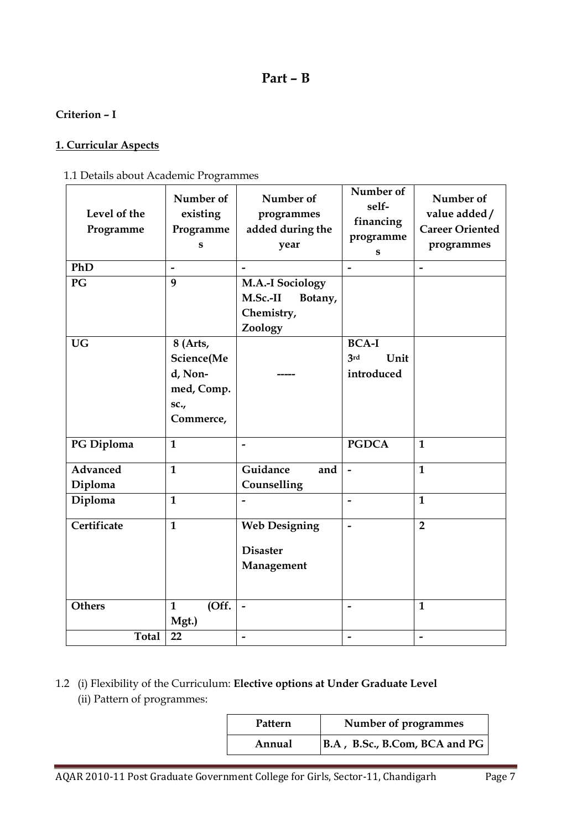# **Part – B**

# **Criterion – I**

# **1. Curricular Aspects**

# 1.1 Details about Academic Programmes

| Level of the<br>Programme | Number of<br>existing<br>Programme<br>S                              | Number of<br>programmes<br>added during the<br>year                     | Number of<br>self-<br>financing<br>programme<br>S | Number of<br>value added/<br><b>Career Oriented</b><br>programmes |
|---------------------------|----------------------------------------------------------------------|-------------------------------------------------------------------------|---------------------------------------------------|-------------------------------------------------------------------|
| PhD                       | $\overline{\phantom{a}}$                                             | $\overline{\phantom{0}}$                                                | $\overline{\phantom{a}}$                          | $\overline{\phantom{a}}$                                          |
| PG                        | 9                                                                    | <b>M.A.-I Sociology</b><br>M.Sc.-II<br>Botany,<br>Chemistry,<br>Zoology |                                                   |                                                                   |
| <b>UG</b>                 | 8 (Arts,<br>Science(Me<br>d, Non-<br>med, Comp.<br>sc.,<br>Commerce, |                                                                         | <b>BCA-I</b><br>3rd<br>Unit<br>introduced         |                                                                   |
| PG Diploma                | $\mathbf{1}$                                                         | $\overline{\phantom{a}}$                                                | <b>PGDCA</b>                                      | $\mathbf{1}$                                                      |
| Advanced                  | $\mathbf{1}$                                                         | Guidance<br>and                                                         | $\overline{a}$                                    | $\mathbf{1}$                                                      |
| Diploma                   |                                                                      | Counselling                                                             |                                                   |                                                                   |
| Diploma                   | $\mathbf{1}$                                                         | $\overline{\phantom{0}}$                                                | $\overline{a}$                                    | $\mathbf{1}$                                                      |
| Certificate               | $\mathbf{1}$                                                         | <b>Web Designing</b><br><b>Disaster</b><br>Management                   | $\overline{\phantom{0}}$                          | $\overline{2}$                                                    |
| <b>Others</b>             | (Off.<br>$\mathbf{1}$<br>Mgt.)                                       | $\overline{\phantom{a}}$                                                | $\overline{\phantom{a}}$                          | $\mathbf{1}$                                                      |
| <b>Total</b>              | 22                                                                   |                                                                         |                                                   | $\overline{\phantom{a}}$                                          |

# 1.2 (i) Flexibility of the Curriculum: **Elective options at Under Graduate Level** (ii) Pattern of programmes:

| Pattern | Number of programmes                  |  |  |
|---------|---------------------------------------|--|--|
| Annual  | $ $ B.A, B.Sc., B.Com, BCA and PG $ $ |  |  |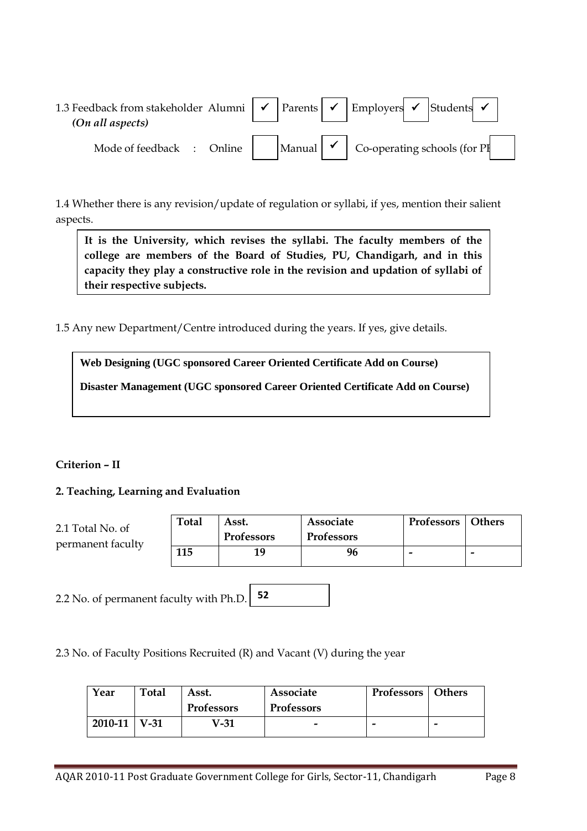| 1.3 Feedback from stakeholder Alumni $\vert \checkmark \vert$ Parents $\vert \checkmark \vert$ Employers $\vert \checkmark \vert$ Students $\vert \checkmark \vert$<br>(On all aspects) |  |  |                                                              |
|-----------------------------------------------------------------------------------------------------------------------------------------------------------------------------------------|--|--|--------------------------------------------------------------|
| Mode of feedback : Online                                                                                                                                                               |  |  | Manual $\vert \checkmark \vert$ Co-operating schools (for PI |

1.4 Whether there is any revision/update of regulation or syllabi, if yes, mention their salient aspects.

**It is the University, which revises the syllabi. The faculty members of the college are members of the Board of Studies, PU, Chandigarh, and in this capacity they play a constructive role in the revision and updation of syllabi of their respective subjects.**

1.5 Any new Department/Centre introduced during the years. If yes, give details.

**Web Designing (UGC sponsored Career Oriented Certificate Add on Course) Disaster Management (UGC sponsored Career Oriented Certificate Add on Course)**

# **Criterion – II**

**2. Teaching, Learning and Evaluation**

| 2.1 Total No. of<br>permanent faculty | <b>Total</b> | Asst.<br><b>Professors</b> | Associate<br><b>Professors</b> | <b>Professors</b> Others |  |
|---------------------------------------|--------------|----------------------------|--------------------------------|--------------------------|--|
|                                       | 115          | 19                         | 96                             | -                        |  |

2.2 No. of permanent faculty with Ph.D. **52**

2.3 No. of Faculty Positions Recruited (R) and Vacant (V) during the year

| Year           | Total | Asst.             | <b>Associate</b>  | <b>Professors</b> Others |   |
|----------------|-------|-------------------|-------------------|--------------------------|---|
|                |       | <b>Professors</b> | <b>Professors</b> |                          |   |
| $2010-11$ V-31 |       | V-31              | -                 |                          | - |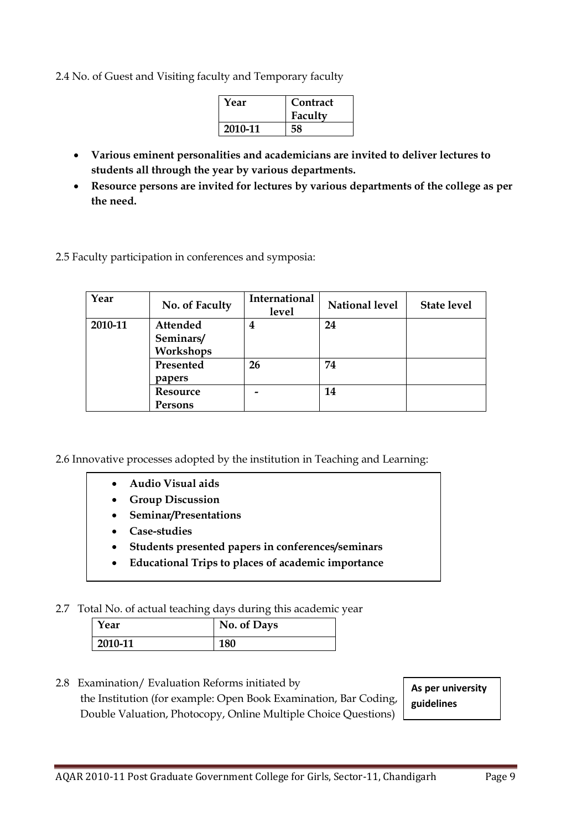2.4 No. of Guest and Visiting faculty and Temporary faculty

| Year    | Contract<br>Faculty |
|---------|---------------------|
| 2010-11 |                     |

- **Various eminent personalities and academicians are invited to deliver lectures to students all through the year by various departments.**
- **Resource persons are invited for lectures by various departments of the college as per the need.**

2.5 Faculty participation in conferences and symposia:

| Year    | No. of Faculty | International<br>level | <b>National level</b> | <b>State level</b> |
|---------|----------------|------------------------|-----------------------|--------------------|
| 2010-11 | Attended       | 4                      | 24                    |                    |
|         | Seminars/      |                        |                       |                    |
|         | Workshops      |                        |                       |                    |
|         | Presented      | 26                     | 74                    |                    |
|         | papers         |                        |                       |                    |
|         | Resource       |                        | 14                    |                    |
|         | Persons        |                        |                       |                    |

2.6 Innovative processes adopted by the institution in Teaching and Learning:

- **Audio Visual aids**
- **Group Discussion**
- **Seminar/Presentations**
- **Case-studies**
- **Students presented papers in conferences/seminars**
- **Educational Trips to places of academic importance**

#### 2.7 Total No. of actual teaching days during this academic year

| Year    | No. of Days |
|---------|-------------|
| 2010-11 | 180         |

2.8 Examination/ Evaluation Reforms initiated by the Institution (for example: Open Book Examination, Bar Coding, Double Valuation, Photocopy, Online Multiple Choice Questions)

**As per university guidelines**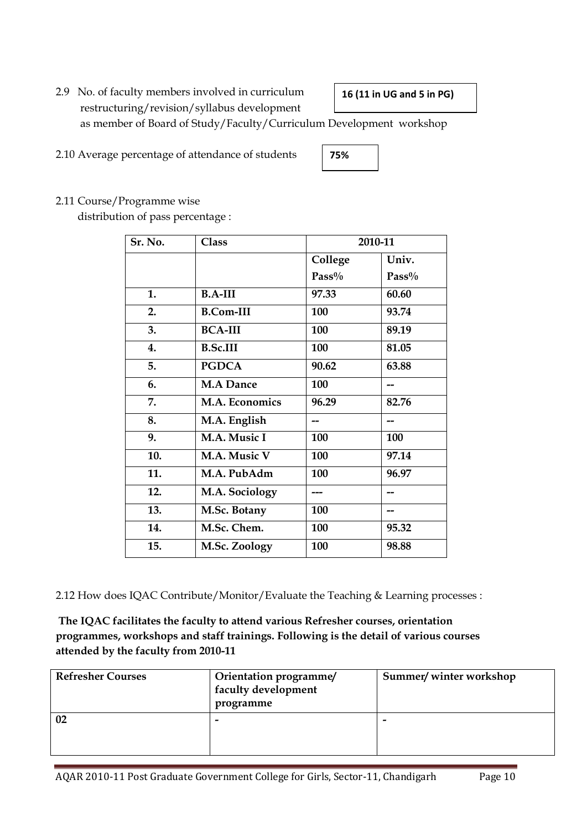2.9 No. of faculty members involved in curriculum restructuring/revision/syllabus development as member of Board of Study/Faculty/Curriculum Development workshop **16 (11 in UG and 5 in PG)**

2.10 Average percentage of attendance of students

# 2.11 Course/Programme wise

distribution of pass percentage :

| Sr. No. | <b>Class</b>     | 2010-11  |       |
|---------|------------------|----------|-------|
|         |                  | College  | Univ. |
|         |                  | $Pass\%$ | Pass% |
| 1.      | $B.A-III$        | 97.33    | 60.60 |
| 2.      | <b>B.Com-III</b> | 100      | 93.74 |
| 3.      | <b>BCA-III</b>   | 100      | 89.19 |
| 4.      | <b>B.Sc.III</b>  | 100      | 81.05 |
| 5.      | <b>PGDCA</b>     | 90.62    | 63.88 |
| 6.      | <b>M.A Dance</b> | 100      |       |
| 7.      | M.A. Economics   | 96.29    | 82.76 |
| 8.      | M.A. English     |          |       |
| 9.      | M.A. Music I     | 100      | 100   |
| 10.     | M.A. Music V     | 100      | 97.14 |
| 11.     | M.A. PubAdm      | 100      | 96.97 |
| 12.     | M.A. Sociology   |          |       |
| 13.     | M.Sc. Botany     | 100      | --    |
| 14.     | M.Sc. Chem.      | 100      | 95.32 |
| 15.     | M.Sc. Zoology    | 100      | 98.88 |

2.12 How does IQAC Contribute/Monitor/Evaluate the Teaching & Learning processes :

**The IQAC facilitates the faculty to attend various Refresher courses, orientation programmes, workshops and staff trainings. Following is the detail of various courses attended by the faculty from 2010-11**

| <b>Refresher Courses</b> | Orientation programme/<br><sup>1</sup> faculty development<br>programme | Summer/winter workshop |  |
|--------------------------|-------------------------------------------------------------------------|------------------------|--|
|                          | -                                                                       | -                      |  |

AQAR 2010-11 Post Graduate Government College for Girls, Sector-11, Chandigarh Page 10

**75%**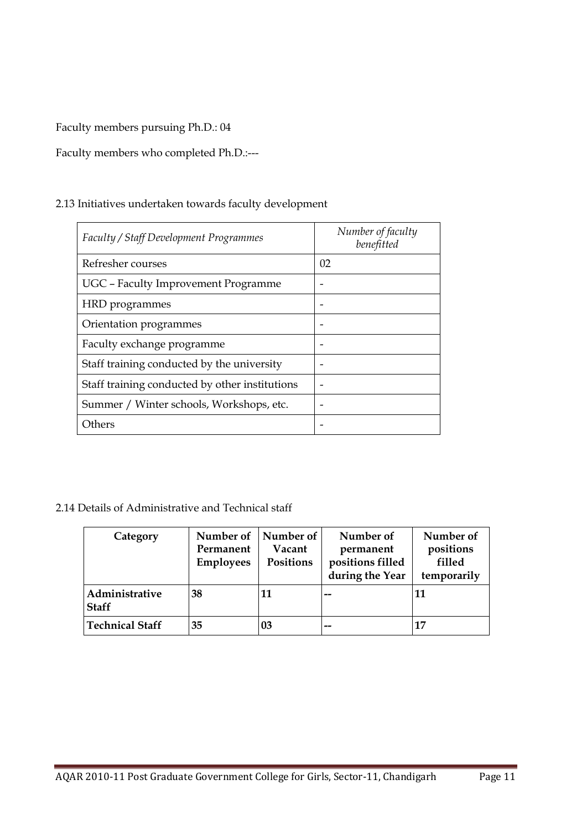Faculty members pursuing Ph.D.: 04

# Faculty members who completed Ph.D.:---

# 2.13 Initiatives undertaken towards faculty development

| <b>Faculty / Staff Development Programmes</b>  | Number of faculty<br>benefitted |
|------------------------------------------------|---------------------------------|
| Refresher courses                              | 02                              |
| UGC - Faculty Improvement Programme            |                                 |
| HRD programmes                                 |                                 |
| Orientation programmes                         |                                 |
| Faculty exchange programme                     |                                 |
| Staff training conducted by the university     |                                 |
| Staff training conducted by other institutions |                                 |
| Summer / Winter schools, Workshops, etc.       |                                 |
| Others                                         |                                 |

# 2.14 Details of Administrative and Technical staff

| Category                       | Number of<br>Permanent<br><b>Employees</b> | Number of<br>Vacant<br>Positions | Number of<br>permanent<br>positions filled<br>during the Year | Number of<br>positions<br>filled<br>temporarily |
|--------------------------------|--------------------------------------------|----------------------------------|---------------------------------------------------------------|-------------------------------------------------|
| Administrative<br><b>Staff</b> | 38                                         | 11                               |                                                               | 11                                              |
| <b>Technical Staff</b>         | 35                                         | 03                               | --                                                            | 17                                              |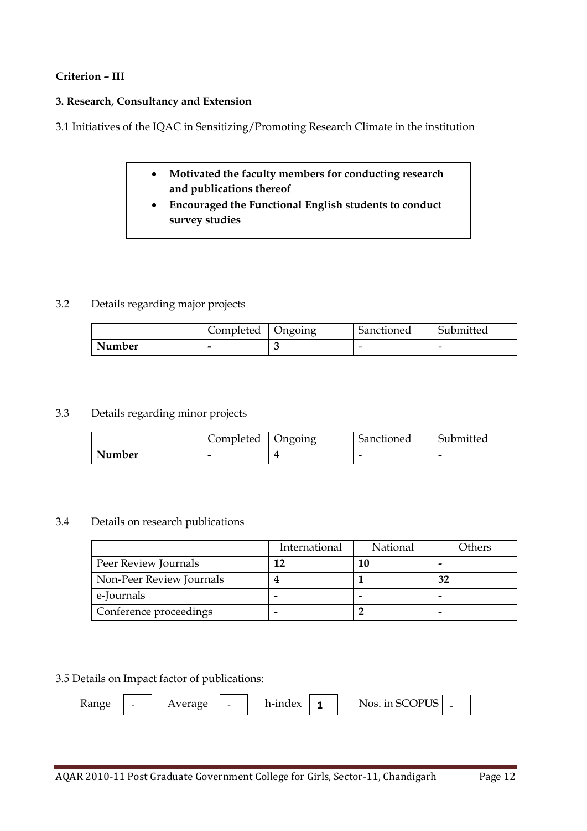## **Criterion – III**

#### **3. Research, Consultancy and Extension**

3.1 Initiatives of the IQAC in Sensitizing/Promoting Research Climate in the institution

- **Motivated the faculty members for conducting research and publications thereof**
- **Encouraged the Functional English students to conduct survey studies**

## 3.2 Details regarding major projects

|        | Completed | Ongoing | Sanctioned | Submitted |
|--------|-----------|---------|------------|-----------|
| Number | -         |         | -          | -         |

#### 3.3 Details regarding minor projects

|        | Completed | Ongoing | Sanctioned | Submitted |
|--------|-----------|---------|------------|-----------|
| Number | -         |         | -          |           |

#### 3.4 Details on research publications

|                          | International | National | Others |
|--------------------------|---------------|----------|--------|
| Peer Review Journals     |               |          |        |
| Non-Peer Review Journals |               |          | 32     |
| e-Journals               |               |          |        |
| Conference proceedings   | -             |          |        |

#### 3.5 Details on Impact factor of publications:

| Range | $\overline{\phantom{a}}$ | Average   - | h-index $\vert$ 1 | Nos. in SCOPUS $\vert$ . |  |
|-------|--------------------------|-------------|-------------------|--------------------------|--|
|       |                          |             |                   |                          |  |
|       |                          |             |                   |                          |  |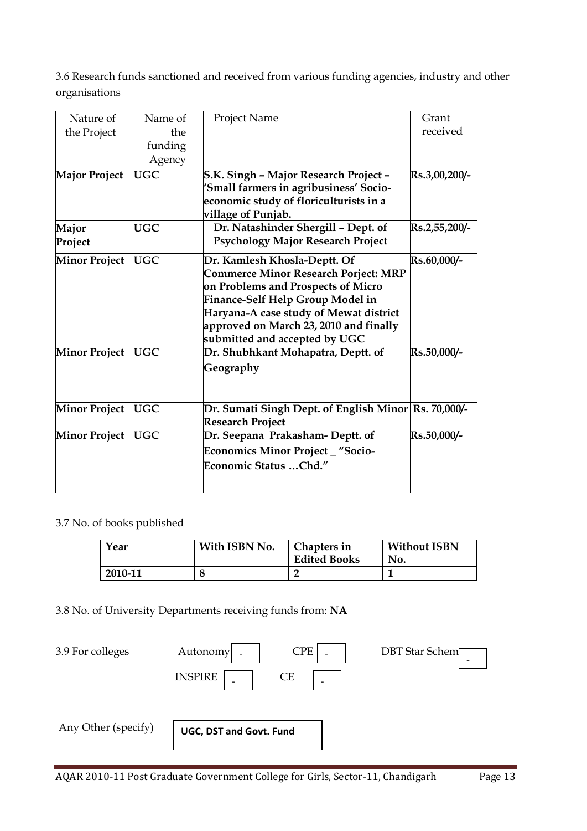3.6 Research funds sanctioned and received from various funding agencies, industry and other organisations

| Nature of            | Name of    | Project Name                                         | Grant         |
|----------------------|------------|------------------------------------------------------|---------------|
| the Project          | the        |                                                      | received      |
|                      | funding    |                                                      |               |
|                      | Agency     |                                                      |               |
| <b>Major Project</b> | <b>UGC</b> | S.K. Singh - Major Research Project -                | Rs.3,00,200/- |
|                      |            | 'Small farmers in agribusiness' Socio-               |               |
|                      |            | economic study of floriculturists in a               |               |
|                      |            | village of Punjab.                                   |               |
| Major                | <b>UGC</b> | Dr. Natashinder Shergill - Dept. of                  | Rs.2,55,200/- |
| Project              |            | <b>Psychology Major Research Project</b>             |               |
| <b>Minor Project</b> | <b>UGC</b> | Dr. Kamlesh Khosla-Deptt. Of                         | Rs.60,000/-   |
|                      |            | <b>Commerce Minor Research Porject: MRP</b>          |               |
|                      |            | on Problems and Prospects of Micro                   |               |
|                      |            | Finance-Self Help Group Model in                     |               |
|                      |            | Haryana-A case study of Mewat district               |               |
|                      |            | approved on March 23, 2010 and finally               |               |
|                      |            | submitted and accepted by UGC                        |               |
| <b>Minor Project</b> | <b>UGC</b> | Dr. Shubhkant Mohapatra, Deptt. of                   | Rs.50,000/-   |
|                      |            | Geography                                            |               |
|                      |            |                                                      |               |
|                      |            |                                                      |               |
| <b>Minor Project</b> | <b>UGC</b> | Dr. Sumati Singh Dept. of English Minor Rs. 70,000/- |               |
|                      |            | <b>Research Project</b>                              |               |
| <b>Minor Project</b> | <b>UGC</b> | Dr. Seepana Prakasham- Deptt. of                     | Rs.50,000/-   |
|                      |            | Economics Minor Project _ "Socio-                    |               |
|                      |            | Economic Status  Chd."                               |               |
|                      |            |                                                      |               |

3.7 No. of books published

| Year    | With ISBN No. | Chapters in<br><b>Edited Books</b> | <b>Without ISBN</b><br>No. |
|---------|---------------|------------------------------------|----------------------------|
| 2010-11 | O             |                                    |                            |

3.8 No. of University Departments receiving funds from: **NA**

| 3.9 For colleges    | Autonomy                | <b>CPE</b> | <b>DBT</b> Star Schem |
|---------------------|-------------------------|------------|-----------------------|
|                     | <b>INSPIRE</b>          | СE         |                       |
|                     |                         |            |                       |
| Any Other (specify) | UGC, DST and Govt. Fund |            |                       |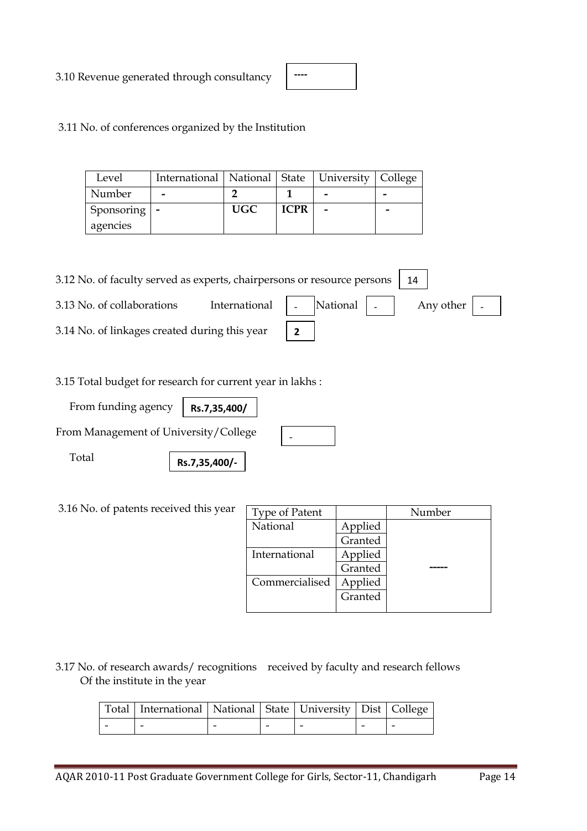3.10 Revenue generated through consultancy

| ---- |  |  |
|------|--|--|
|      |  |  |
|      |  |  |

3.11 No. of conferences organized by the Institution

| Level          | International   National   State   University   College |            |             |   |  |
|----------------|---------------------------------------------------------|------------|-------------|---|--|
| Number         |                                                         |            |             | - |  |
| Sponsoring   - |                                                         | <b>UGC</b> | <b>ICPR</b> | - |  |
| agencies       |                                                         |            |             |   |  |

| 3.12 No. of faculty served as experts, chairpersons or resource persons |                                                                                |  |  |  |  |  |
|-------------------------------------------------------------------------|--------------------------------------------------------------------------------|--|--|--|--|--|
| 3.13 No. of collaborations                                              | International $\vert$ - $\vert$ National $\vert$ - $\vert$ Any other $\vert$ - |  |  |  |  |  |
| 3.14 No. of linkages created during this year                           |                                                                                |  |  |  |  |  |

3.15 Total budget for research for current year in lakhs :

 From funding agency **Rs.7,35,400/**

From Management of University/College

Total

**Rs.7,35,400/-**

3.16 No. of patents received this year

| <b>Type of Patent</b> |         | Number |
|-----------------------|---------|--------|
| National              | Applied |        |
|                       | Granted |        |
| International         | Applied |        |
|                       | Granted |        |
| Commercialised        | Applied |        |
|                       | Granted |        |
|                       |         |        |

3.17 No. of research awards/ recognitions received by faculty and research fellows Of the institute in the year

| Total   International   National   State   University   Dist   College |  |  |  |
|------------------------------------------------------------------------|--|--|--|
|                                                                        |  |  |  |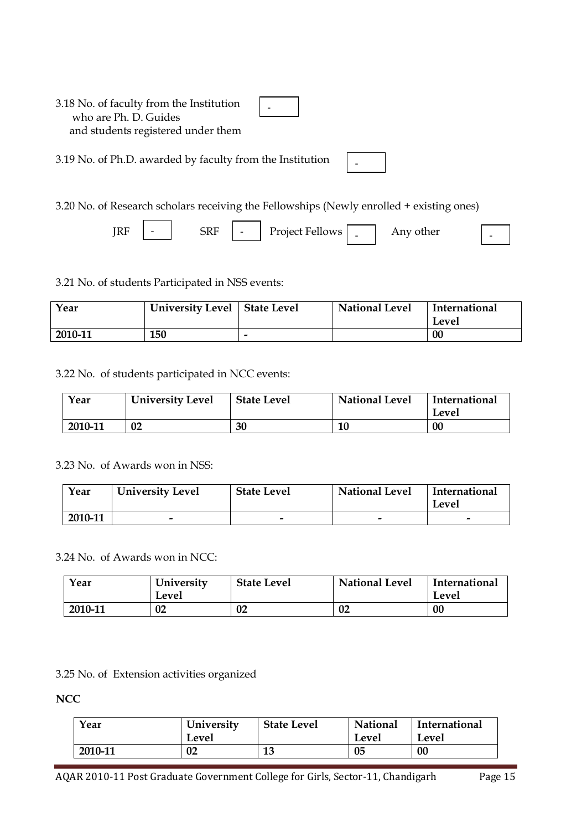| 3.18 No. of faculty from the Institution<br>who are Ph. D. Guides<br>and students registered under them |  |  |
|---------------------------------------------------------------------------------------------------------|--|--|
| 3.19 No. of Ph.D. awarded by faculty from the Institution                                               |  |  |

3.20 No. of Research scholars receiving the Fellowships (Newly enrolled + existing ones)

 $\overline{\phantom{0}}$ 

| RF |  | ЫU |  | Project Fellows- |  | Any other |  |
|----|--|----|--|------------------|--|-----------|--|
|----|--|----|--|------------------|--|-----------|--|

3.21 No. of students Participated in NSS events:

 $\overline{a}$ 

| Year    | University Level   State Level |   | <b>National Level</b> | International<br>Level |
|---------|--------------------------------|---|-----------------------|------------------------|
| 2010-11 | 150                            | - |                       | 00                     |

3.22 No. of students participated in NCC events:

| Year    | <b>University Level</b> | <b>State Level</b> | National Level | International<br>Level |
|---------|-------------------------|--------------------|----------------|------------------------|
| 2010-11 | 02                      | 30                 | 10             | 00                     |

3.23 No. of Awards won in NSS:

| Year    | <b>University Level</b> | <b>State Level</b> | <b>National Level</b> | International<br>Level |
|---------|-------------------------|--------------------|-----------------------|------------------------|
| 2010-11 | -                       |                    |                       |                        |

3.24 No. of Awards won in NCC:

| Year    | University<br>Level | <b>State Level</b> | <b>National Level</b> | International<br>Level |
|---------|---------------------|--------------------|-----------------------|------------------------|
| 2010-11 | 02                  | 02                 | 02                    | 00                     |

3.25 No. of Extension activities organized

**NCC**

| Year    | University<br>Level | <b>State Level</b> | National<br>Level | International<br>Level |
|---------|---------------------|--------------------|-------------------|------------------------|
| 2010-11 | 02                  | 13                 | 05                | 00                     |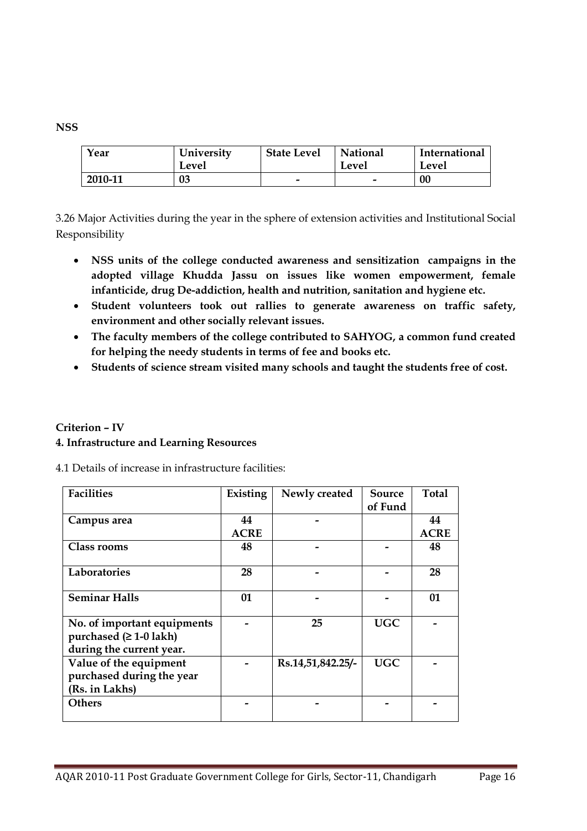| Year    | University<br>Level | <b>State Level</b> | National<br>Level | International<br>Level |
|---------|---------------------|--------------------|-------------------|------------------------|
| 2010-11 | 03                  | -                  | -                 | 00                     |

3.26 Major Activities during the year in the sphere of extension activities and Institutional Social Responsibility

- **NSS units of the college conducted awareness and sensitization campaigns in the adopted village Khudda Jassu on issues like women empowerment, female infanticide, drug De-addiction, health and nutrition, sanitation and hygiene etc.**
- **Student volunteers took out rallies to generate awareness on traffic safety, environment and other socially relevant issues.**
- **The faculty members of the college contributed to SAHYOG, a common fund created for helping the needy students in terms of fee and books etc.**
- **Students of science stream visited many schools and taught the students free of cost.**

# **Criterion – IV 4. Infrastructure and Learning Resources**

|  |  | 4.1 Details of increase in infrastructure facilities: |  |
|--|--|-------------------------------------------------------|--|
|  |  |                                                       |  |

| <b>Facilities</b>                                                                   | Existing    | Newly created     | <b>Source</b> | Total       |
|-------------------------------------------------------------------------------------|-------------|-------------------|---------------|-------------|
|                                                                                     |             |                   | of Fund       |             |
| Campus area                                                                         | 44          |                   |               | 44          |
|                                                                                     | <b>ACRE</b> |                   |               | <b>ACRE</b> |
| Class rooms                                                                         | 48          |                   |               | 48          |
| Laboratories                                                                        | 28          |                   |               | 28          |
| <b>Seminar Halls</b>                                                                | 01          |                   |               | 01          |
| No. of important equipments<br>purchased $(≥ 1-0$ lakh)<br>during the current year. |             | 25                | <b>UGC</b>    |             |
| Value of the equipment<br>purchased during the year<br>(Rs. in Lakhs)               |             | Rs.14,51,842.25/- | <b>UGC</b>    |             |
| <b>Others</b>                                                                       |             |                   |               |             |

# **NSS**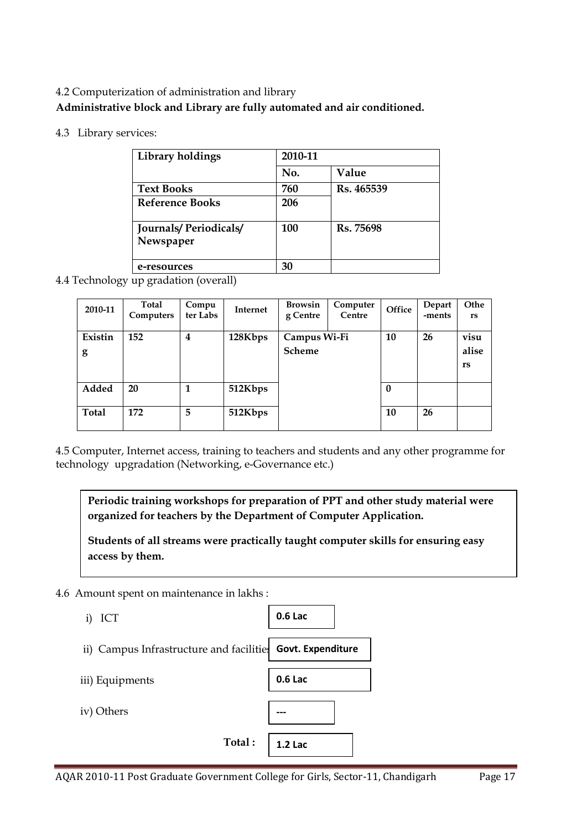# 4.2 Computerization of administration and library **Administrative block and Library are fully automated and air conditioned.**

4.3 Library services:

| Library holdings                          | 2010-11 |            |
|-------------------------------------------|---------|------------|
|                                           | No.     | Value      |
| <b>Text Books</b>                         | 760     | Rs. 465539 |
| <b>Reference Books</b>                    | 206     |            |
| <b>Journals/Periodicals/</b><br>Newspaper | 100     | Rs. 75698  |
| e-resources                               | 30      |            |

4.4 Technology up gradation (overall)

| 2010-11      | Total<br>Computers | Compu<br>ter Labs | Internet | <b>Browsin</b><br>g Centre    | Computer<br>Centre | Office       | Depart<br>-ments | Othe<br>rs                 |
|--------------|--------------------|-------------------|----------|-------------------------------|--------------------|--------------|------------------|----------------------------|
| Existin<br>g | 152                | 4                 | 128Kbps  | Campus Wi-Fi<br><b>Scheme</b> |                    | 10           | 26               | visu<br>alise<br><b>rs</b> |
| Added        | 20                 | 1                 | 512Kbps  |                               |                    | $\mathbf{0}$ |                  |                            |
| <b>Total</b> | 172                | 5                 | 512Kbps  |                               |                    | 10           | 26               |                            |

4.5 Computer, Internet access, training to teachers and students and any other programme for technology upgradation (Networking, e-Governance etc.)

**Periodic training workshops for preparation of PPT and other study material were organized for teachers by the Department of Computer Application.**

**Students of all streams were practically taught computer skills for ensuring easy access by them.**

4.6 Amount spent on maintenance in lakhs :

| ICT<br>1)                                                  | 0.6 Lac        |
|------------------------------------------------------------|----------------|
| ii) Campus Infrastructure and facilities Govt. Expenditure |                |
| iii) Equipments                                            | 0.6 Lac        |
| iv) Others                                                 |                |
| Total:                                                     | <b>1.2 Lac</b> |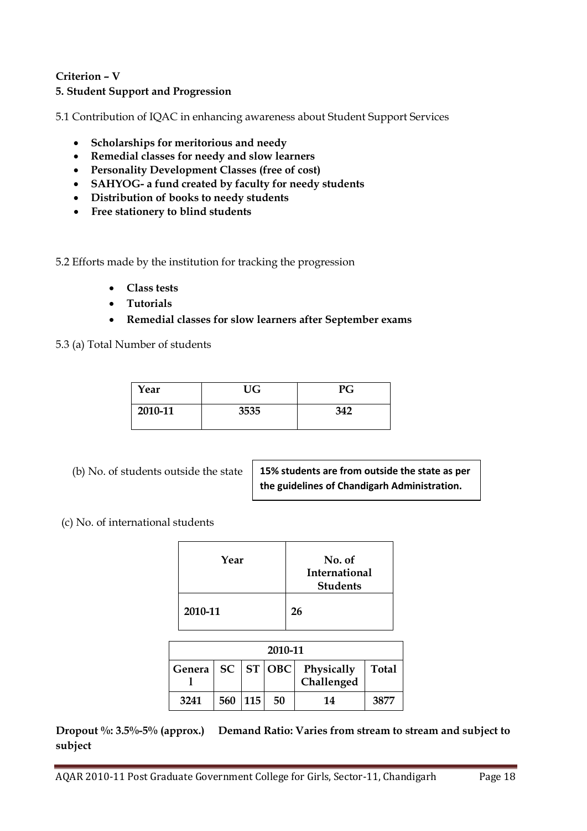# **Criterion – V**

## **5. Student Support and Progression**

5.1 Contribution of IQAC in enhancing awareness about Student Support Services

- **Scholarships for meritorious and needy**
- **Remedial classes for needy and slow learners**
- **Personality Development Classes (free of cost)**
- **SAHYOG- a fund created by faculty for needy students**
- **Distribution of books to needy students**
- **Free stationery to blind students**

5.2 Efforts made by the institution for tracking the progression

- **Class tests**
- **Tutorials**
- **Remedial classes for slow learners after September exams**

5.3 (a) Total Number of students

| Year    | <b>UG</b> | PG  |
|---------|-----------|-----|
| 2010-11 | 3535      | 342 |

(b) No. of students outside the state

**15% students are from outside the state as per the guidelines of Chandigarh Administration.**

(c) No. of international students

| Year    | No. of<br>International<br><b>Students</b> |
|---------|--------------------------------------------|
| 2010-11 | 26                                         |

| 2010-11                                           |         |  |    |    |              |
|---------------------------------------------------|---------|--|----|----|--------------|
| Genera   SC   ST   OBC   Physically<br>Challenged |         |  |    |    | <b>Total</b> |
| 3241                                              | 560 115 |  | 50 | 14 | 3877         |

**Dropout %: 3.5%-5% (approx.) Demand Ratio: Varies from stream to stream and subject to subject**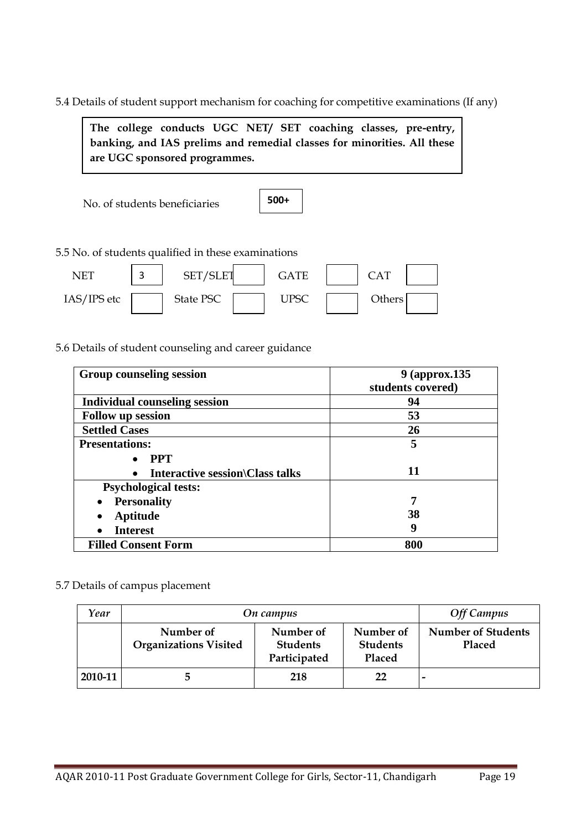5.4 Details of student support mechanism for coaching for competitive examinations (If any)

**The college conducts UGC NET/ SET coaching classes, pre-entry, banking, and IAS prelims and remedial classes for minorities. All these are UGC sponsored programmes.**

No. of students beneficiaries



5.5 No. of students qualified in these examinations

| NET         | ⌒ | SET/SLET         | <b>GATE</b> |        |  |
|-------------|---|------------------|-------------|--------|--|
| IAS/IPS etc |   | <b>State PSC</b> | <b>JPSC</b> | Others |  |

5.6 Details of student counseling and career guidance

| <b>Group counseling session</b>        | 9 (approx.135)<br>students covered) |
|----------------------------------------|-------------------------------------|
| <b>Individual counseling session</b>   | 94                                  |
| <b>Follow up session</b>               | 53                                  |
| <b>Settled Cases</b>                   | 26                                  |
| <b>Presentations:</b>                  | 5                                   |
| <b>PPT</b>                             |                                     |
| <b>Interactive session Class talks</b> | 11                                  |
| <b>Psychological tests:</b>            |                                     |
| <b>Personality</b>                     | 7                                   |
| Aptitude                               | 38                                  |
| <b>Interest</b>                        | 9                                   |
| <b>Filled Consent Form</b>             | 800                                 |

#### 5.7 Details of campus placement

| Year    | On campus                                 | <b>Off Campus</b>                            |                                        |                                     |
|---------|-------------------------------------------|----------------------------------------------|----------------------------------------|-------------------------------------|
|         | Number of<br><b>Organizations Visited</b> | Number of<br><b>Students</b><br>Participated | Number of<br><b>Students</b><br>Placed | <b>Number of Students</b><br>Placed |
| 2010-11 | 5                                         | 218                                          | 22                                     |                                     |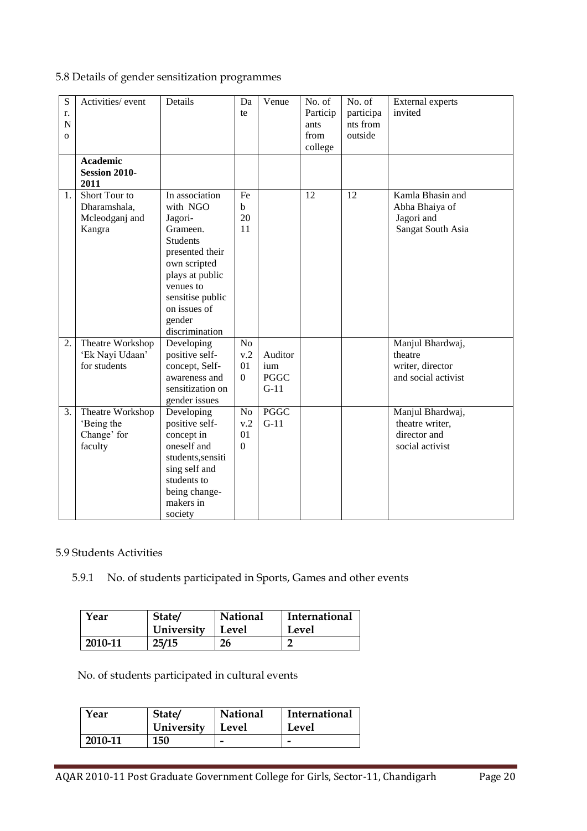# 5.8 Details of gender sensitization programmes

| S<br>r.<br>N<br>$\Omega$ | Activities/ event                                         | Details                                                                                                                                                                                                 | Da<br>te                                        | Venue                                   | No. of<br>Particip<br>ants<br>from<br>college | No. of<br>participa<br>nts from<br>outside | <b>External experts</b><br>invited                                     |
|--------------------------|-----------------------------------------------------------|---------------------------------------------------------------------------------------------------------------------------------------------------------------------------------------------------------|-------------------------------------------------|-----------------------------------------|-----------------------------------------------|--------------------------------------------|------------------------------------------------------------------------|
|                          | <b>Academic</b><br><b>Session 2010-</b><br>2011           |                                                                                                                                                                                                         |                                                 |                                         |                                               |                                            |                                                                        |
| 1.                       | Short Tour to<br>Dharamshala,<br>Mcleodganj and<br>Kangra | In association<br>with NGO<br>Jagori-<br>Grameen.<br><b>Students</b><br>presented their<br>own scripted<br>plays at public<br>venues to<br>sensitise public<br>on issues of<br>gender<br>discrimination | Fe<br>$\mathbf b$<br>20<br>11                   |                                         | 12                                            | 12                                         | Kamla Bhasin and<br>Abha Bhaiya of<br>Jagori and<br>Sangat South Asia  |
| 2.                       | Theatre Workshop<br>'Ek Nayi Udaan'<br>for students       | Developing<br>positive self-<br>concept, Self-<br>awareness and<br>sensitization on<br>gender issues                                                                                                    | N <sub>o</sub><br>v.2<br>01<br>$\mathbf{0}$     | Auditor<br>ium<br><b>PGGC</b><br>$G-11$ |                                               |                                            | Manjul Bhardwaj,<br>theatre<br>writer, director<br>and social activist |
| $\overline{3}$ .         | Theatre Workshop<br>'Being the<br>Change' for<br>faculty  | Developing<br>positive self-<br>concept in<br>oneself and<br>students, sensiti<br>sing self and<br>students to<br>being change-<br>makers in<br>society                                                 | N <sub>o</sub><br>v.2<br>01<br>$\boldsymbol{0}$ | <b>PGGC</b><br>$G-11$                   |                                               |                                            | Manjul Bhardwaj,<br>theatre writer,<br>director and<br>social activist |

#### 5.9 Students Activities

# 5.9.1 No. of students participated in Sports, Games and other events

| Year    | State/     | <b>National</b> | International |
|---------|------------|-----------------|---------------|
|         | University | Level           | Level         |
| 2010-11 | 25/15      | 26              |               |

No. of students participated in cultural events

| Year    | State/     | <b>National</b> | <b>International</b> |
|---------|------------|-----------------|----------------------|
|         | University | Level           | Level                |
| 2010-11 | 150        |                 |                      |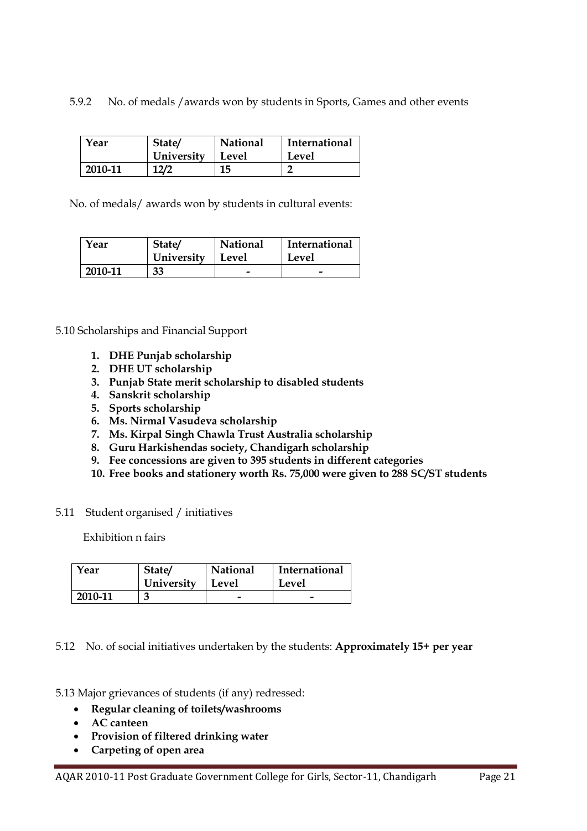5.9.2 No. of medals /awards won by students in Sports, Games and other events

| Year    | State/     | National | <b>International</b> |
|---------|------------|----------|----------------------|
|         | University | Level    | Level                |
| 2010-11 | 12/2       | 15       |                      |

No. of medals/ awards won by students in cultural events:

| Year    | State/     | <b>National</b> | <b>International</b>     |
|---------|------------|-----------------|--------------------------|
|         | University | Level           | Level                    |
| 2010-11 | 33         | -               | $\overline{\phantom{0}}$ |

5.10 Scholarships and Financial Support

- **1. DHE Punjab scholarship**
- **2. DHE UT scholarship**
- **3. Punjab State merit scholarship to disabled students**
- **4. Sanskrit scholarship**
- **5. Sports scholarship**
- **6. Ms. Nirmal Vasudeva scholarship**
- **7. Ms. Kirpal Singh Chawla Trust Australia scholarship**
- **8. Guru Harkishendas society, Chandigarh scholarship**
- **9. Fee concessions are given to 395 students in different categories**
- **10. Free books and stationery worth Rs. 75,000 were given to 288 SC/ST students**
- 5.11 Student organised / initiatives

Exhibition n fairs

| Year    | State/     | National | <b>International</b> |
|---------|------------|----------|----------------------|
|         | University | Level    | Level                |
| 2010-11 |            |          |                      |

5.12 No. of social initiatives undertaken by the students: **Approximately 15+ per year**

5.13 Major grievances of students (if any) redressed:

- **Regular cleaning of toilets/washrooms**
- **AC canteen**
- **Provision of filtered drinking water**
- **Carpeting of open area**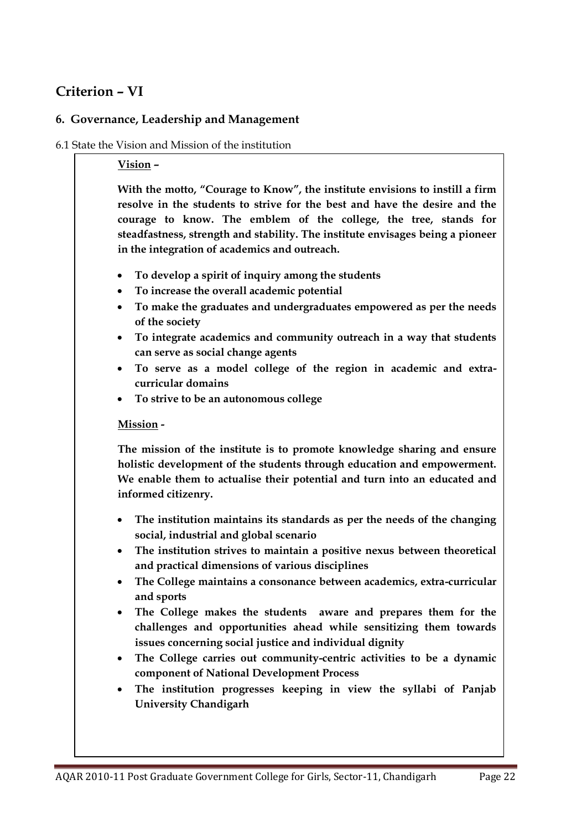# **Criterion – VI**

# **6. Governance, Leadership and Management**

# 6.1 State the Vision and Mission of the institution

## **Vision –**

**With the motto, "Courage to Know", the institute envisions to instill a firm resolve in the students to strive for the best and have the desire and the courage to know. The emblem of the college, the tree, stands for steadfastness, strength and stability. The institute envisages being a pioneer in the integration of academics and outreach.**

- **To develop a spirit of inquiry among the students**
- **To increase the overall academic potential**
- **To make the graduates and undergraduates empowered as per the needs of the society**
- **To integrate academics and community outreach in a way that students can serve as social change agents**
- **To serve as a model college of the region in academic and extracurricular domains**
- **To strive to be an autonomous college**

# **Mission -**

**The mission of the institute is to promote knowledge sharing and ensure holistic development of the students through education and empowerment. We enable them to actualise their potential and turn into an educated and informed citizenry.**

- **The institution maintains its standards as per the needs of the changing social, industrial and global scenario**
- **The institution strives to maintain a positive nexus between theoretical and practical dimensions of various disciplines**
- **The College maintains a consonance between academics, extra-curricular and sports**
- **The College makes the students aware and prepares them for the challenges and opportunities ahead while sensitizing them towards issues concerning social justice and individual dignity**
- **The College carries out community-centric activities to be a dynamic component of National Development Process**
- **The institution progresses keeping in view the syllabi of Panjab University Chandigarh**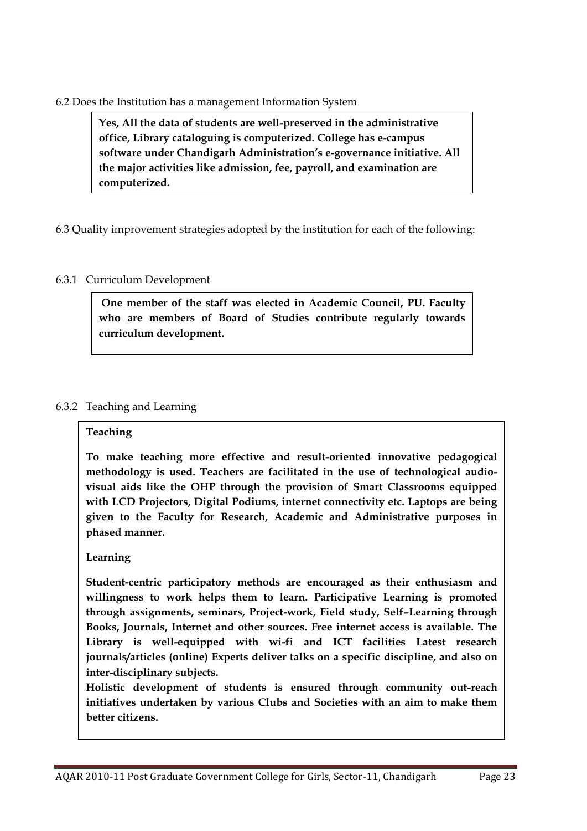#### 6.2 Does the Institution has a management Information System

**Yes, All the data of students are well-preserved in the administrative office, Library cataloguing is computerized. College has e-campus software under Chandigarh Administration's e-governance initiative. All the major activities like admission, fee, payroll, and examination are computerized.**

6.3 Quality improvement strategies adopted by the institution for each of the following:

# 6.3.1 Curriculum Development

**One member of the staff was elected in Academic Council, PU. Faculty who are members of Board of Studies contribute regularly towards curriculum development.**

# 6.3.2 Teaching and Learning

# **Teaching**

**To make teaching more effective and result-oriented innovative pedagogical methodology is used. Teachers are facilitated in the use of technological audiovisual aids like the OHP through the provision of Smart Classrooms equipped with LCD Projectors, Digital Podiums, internet connectivity etc. Laptops are being given to the Faculty for Research, Academic and Administrative purposes in phased manner.** 

# **Learning**

**Student-centric participatory methods are encouraged as their enthusiasm and willingness to work helps them to learn. Participative Learning is promoted through assignments, seminars, Project-work, Field study, Self–Learning through Books, Journals, Internet and other sources. Free internet access is available. The Library is well-equipped with wi-fi and ICT facilities Latest research journals/articles (online) Experts deliver talks on a specific discipline, and also on inter-disciplinary subjects.**

**Holistic development of students is ensured through community out-reach initiatives undertaken by various Clubs and Societies with an aim to make them better citizens.**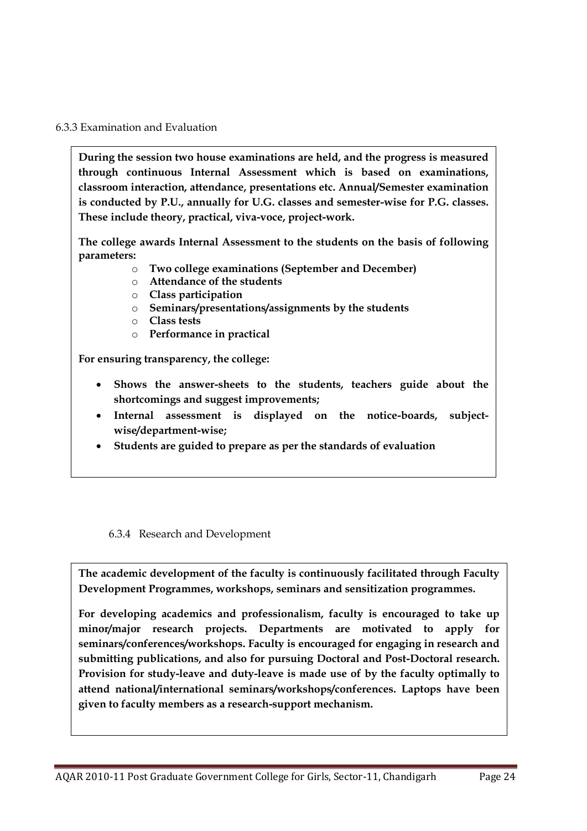#### 6.3.3 Examination and Evaluation

**During the session two house examinations are held, and the progress is measured through continuous Internal Assessment which is based on examinations, classroom interaction, attendance, presentations etc. Annual/Semester examination is conducted by P.U., annually for U.G. classes and semester-wise for P.G. classes. These include theory, practical, viva-voce, project-work.**

**The college awards Internal Assessment to the students on the basis of following parameters:**

- o **Two college examinations (September and December)**
- o **Attendance of the students**
- o **Class participation**
- o **Seminars/presentations/assignments by the students**
- o **Class tests**
- o **Performance in practical**

**For ensuring transparency, the college:**

- **Shows the answer-sheets to the students, teachers guide about the shortcomings and suggest improvements;**
- **Internal assessment is displayed on the notice-boards, subjectwise/department-wise;**
- **Students are guided to prepare as per the standards of evaluation**

#### 6.3.4 Research and Development

**The academic development of the faculty is continuously facilitated through Faculty Development Programmes, workshops, seminars and sensitization programmes.** 

**For developing academics and professionalism, faculty is encouraged to take up minor/major research projects. Departments are motivated to apply for seminars/conferences/workshops. Faculty is encouraged for engaging in research and submitting publications, and also for pursuing Doctoral and Post-Doctoral research. Provision for study-leave and duty-leave is made use of by the faculty optimally to attend national/international seminars/workshops/conferences. Laptops have been given to faculty members as a research-support mechanism.**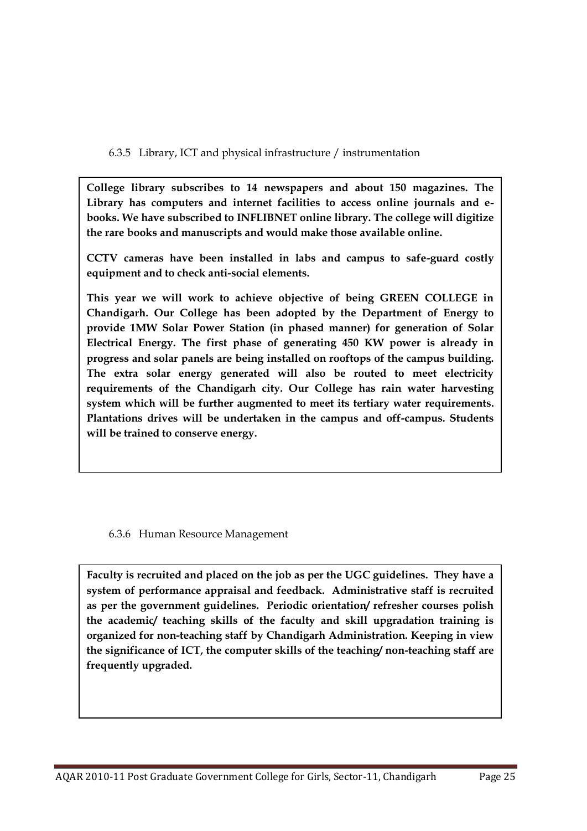6.3.5 Library, ICT and physical infrastructure / instrumentation

**College library subscribes to 14 newspapers and about 150 magazines. The Library has computers and internet facilities to access online journals and ebooks. We have subscribed to INFLIBNET online library. The college will digitize the rare books and manuscripts and would make those available online.**

**CCTV cameras have been installed in labs and campus to safe-guard costly equipment and to check anti-social elements.** 

**This year we will work to achieve objective of being GREEN COLLEGE in Chandigarh. Our College has been adopted by the Department of Energy to provide 1MW Solar Power Station (in phased manner) for generation of Solar Electrical Energy. The first phase of generating 450 KW power is already in progress and solar panels are being installed on rooftops of the campus building. The extra solar energy generated will also be routed to meet electricity requirements of the Chandigarh city. Our College has rain water harvesting system which will be further augmented to meet its tertiary water requirements. Plantations drives will be undertaken in the campus and off-campus. Students will be trained to conserve energy.**

6.3.6 Human Resource Management

**Faculty is recruited and placed on the job as per the UGC guidelines. They have a system of performance appraisal and feedback. Administrative staff is recruited as per the government guidelines. Periodic orientation/ refresher courses polish the academic/ teaching skills of the faculty and skill upgradation training is organized for non-teaching staff by Chandigarh Administration. Keeping in view the significance of ICT, the computer skills of the teaching/ non-teaching staff are frequently upgraded.**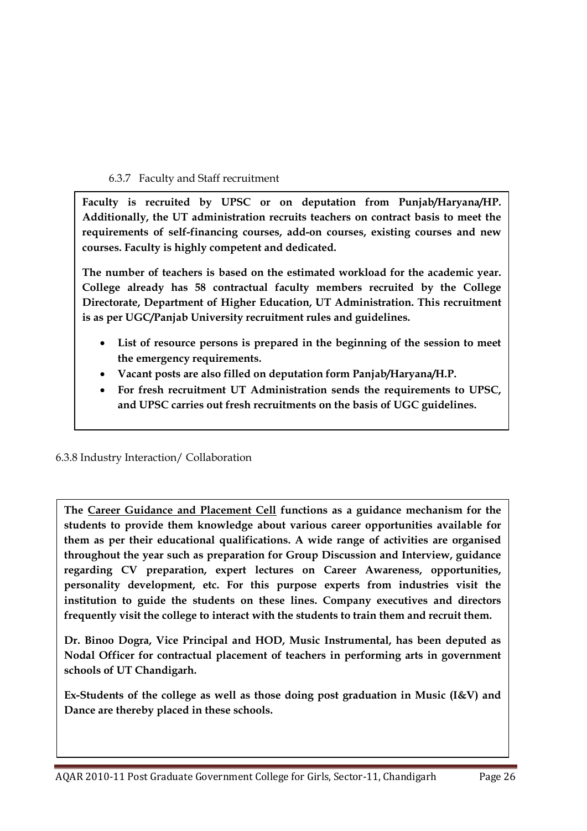6.3.7 Faculty and Staff recruitment

**Faculty is recruited by UPSC or on deputation from Punjab/Haryana/HP. Additionally, the UT administration recruits teachers on contract basis to meet the requirements of self-financing courses, add-on courses, existing courses and new courses. Faculty is highly competent and dedicated.** 

**The number of teachers is based on the estimated workload for the academic year. College already has 58 contractual faculty members recruited by the College Directorate, Department of Higher Education, UT Administration. This recruitment is as per UGC/Panjab University recruitment rules and guidelines.**

- **List of resource persons is prepared in the beginning of the session to meet the emergency requirements.**
- **Vacant posts are also filled on deputation form Panjab/Haryana/H.P.**
- **For fresh recruitment UT Administration sends the requirements to UPSC, and UPSC carries out fresh recruitments on the basis of UGC guidelines.**

6.3.8 Industry Interaction/ Collaboration

The Career Guidance and Placement Cell functions as a guidance mechanism for the **students to provide them knowledge about various career opportunities available for them as per their educational qualifications. A wide range of activities are organised throughout the year such as preparation for Group Discussion and Interview, guidance regarding CV preparation, expert lectures on Career Awareness, opportunities, personality development, etc. For this purpose experts from industries visit the institution to guide the students on these lines. Company executives and directors frequently visit the college to interact with the students to train them and recruit them.**

**Dr. Binoo Dogra, Vice Principal and HOD, Music Instrumental, has been deputed as Nodal Officer for contractual placement of teachers in performing arts in government schools of UT Chandigarh.**

**Ex-Students of the college as well as those doing post graduation in Music (I&V) and Dance are thereby placed in these schools.**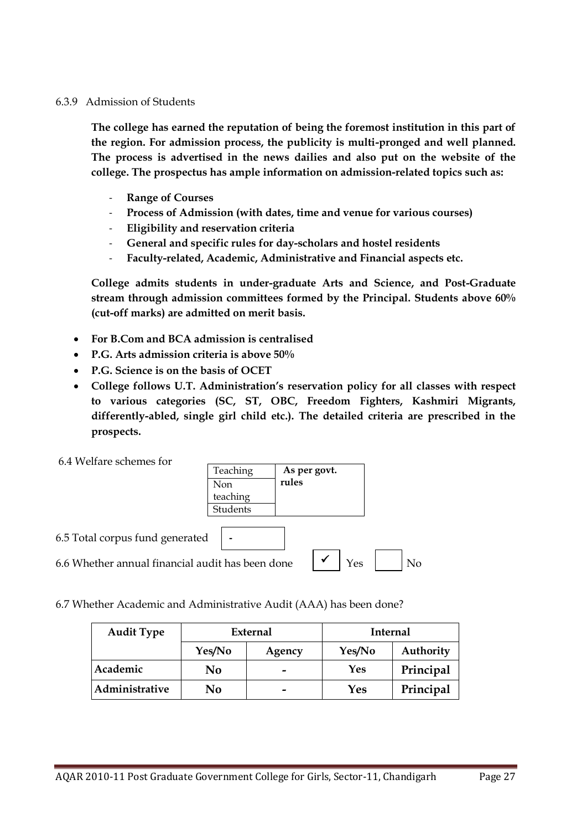#### 6.3.9 Admission of Students

**The college has earned the reputation of being the foremost institution in this part of the region. For admission process, the publicity is multi-pronged and well planned. The process is advertised in the news dailies and also put on the website of the college. The prospectus has ample information on admission-related topics such as:**

- **Range of Courses**
- **Process of Admission (with dates, time and venue for various courses)**
- **Eligibility and reservation criteria**
- **General and specific rules for day-scholars and hostel residents**
- **Faculty-related, Academic, Administrative and Financial aspects etc.**

**College admits students in under-graduate Arts and Science, and Post-Graduate stream through admission committees formed by the Principal. Students above 60% (cut-off marks) are admitted on merit basis.**

- **For B.Com and BCA admission is centralised**
- **P.G. Arts admission criteria is above 50%**
- **P.G. Science is on the basis of OCET**
- **College follows U.T. Administration's reservation policy for all classes with respect to various categories (SC, ST, OBC, Freedom Fighters, Kashmiri Migrants, differently-abled, single girl child etc.). The detailed criteria are prescribed in the prospects.**



6.7 Whether Academic and Administrative Audit (AAA) has been done?

| <b>Audit Type</b> |                  | External                 | <b>Internal</b> |           |
|-------------------|------------------|--------------------------|-----------------|-----------|
|                   | Yes/No<br>Agency |                          | Yes/No          | Authority |
| Academic          | No               | $\overline{\phantom{0}}$ | Yes             | Principal |
| Administrative    | No               |                          | Yes             | Principal |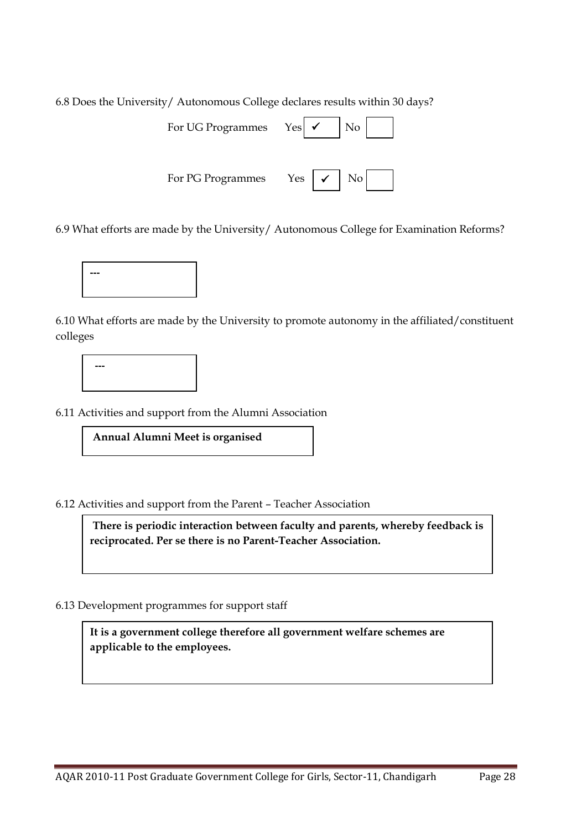6.8 Does the University/ Autonomous College declares results within 30 days?

| For UG Programmes | Yes                     |
|-------------------|-------------------------|
| For PG Programmes | No<br>Yes<br>$\sqrt{ }$ |

6.9 What efforts are made by the University/ Autonomous College for Examination Reforms?



6.10 What efforts are made by the University to promote autonomy in the affiliated/constituent colleges

**---**

6.11 Activities and support from the Alumni Association

**Annual Alumni Meet is organised**

6.12 Activities and support from the Parent – Teacher Association

**There is periodic interaction between faculty and parents, whereby feedback is reciprocated. Per se there is no Parent-Teacher Association.**

6.13 Development programmes for support staff

**It is a government college therefore all government welfare schemes are applicable to the employees.**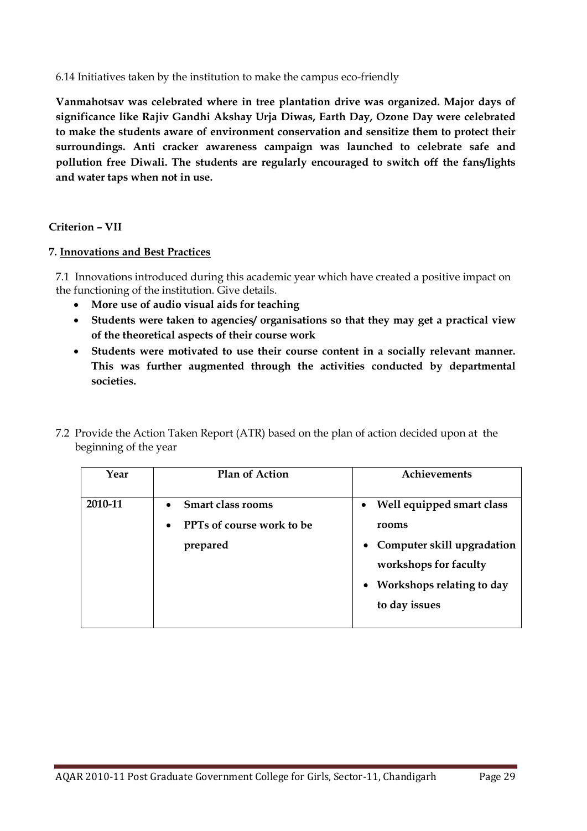6.14 Initiatives taken by the institution to make the campus eco-friendly

**Vanmahotsav was celebrated where in tree plantation drive was organized. Major days of significance like Rajiv Gandhi Akshay Urja Diwas, Earth Day, Ozone Day were celebrated to make the students aware of environment conservation and sensitize them to protect their surroundings. Anti cracker awareness campaign was launched to celebrate safe and pollution free Diwali. The students are regularly encouraged to switch off the fans/lights and water taps when not in use.**

**Criterion – VII**

## **7. Innovations and Best Practices**

7.1 Innovations introduced during this academic year which have created a positive impact on the functioning of the institution. Give details.

- **More use of audio visual aids for teaching**
- **Students were taken to agencies/ organisations so that they may get a practical view of the theoretical aspects of their course work**
- **Students were motivated to use their course content in a socially relevant manner. This was further augmented through the activities conducted by departmental societies.**
- 7.2 Provide the Action Taken Report (ATR) based on the plan of action decided upon at the beginning of the year

| Year    | <b>Plan of Action</b>                                               | Achievements                                                                                                                                                                   |
|---------|---------------------------------------------------------------------|--------------------------------------------------------------------------------------------------------------------------------------------------------------------------------|
| 2010-11 | • Smart class rooms<br><b>PPTs of course work to be</b><br>prepared | Well equipped smart class<br>$\bullet$<br>rooms<br>Computer skill upgradation<br>$\bullet$<br>workshops for faculty<br>Workshops relating to day<br>$\bullet$<br>to day issues |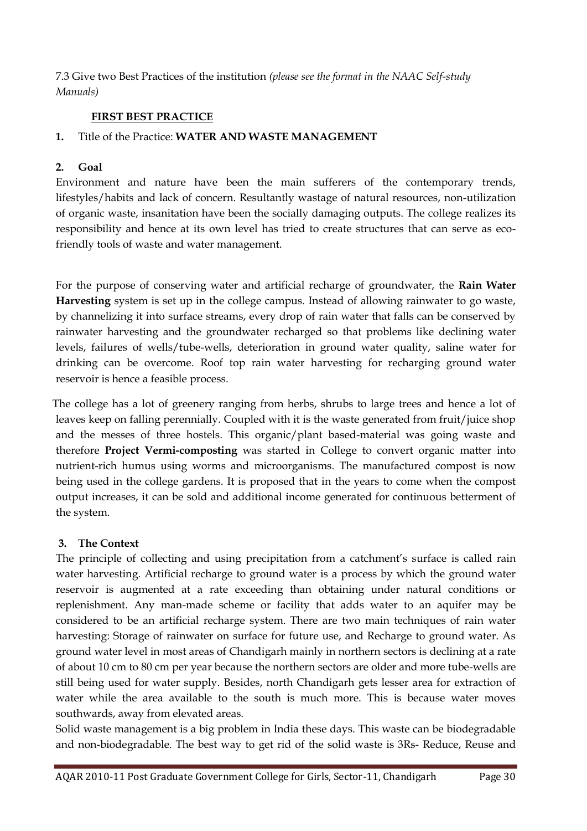7.3 Give two Best Practices of the institution *(please see the format in the NAAC Self-study Manuals)*

# **FIRST BEST PRACTICE**

# **1.** Title of the Practice: **WATER AND WASTE MANAGEMENT**

# **2. Goal**

Environment and nature have been the main sufferers of the contemporary trends, lifestyles/habits and lack of concern. Resultantly wastage of natural resources, non-utilization of organic waste, insanitation have been the socially damaging outputs. The college realizes its responsibility and hence at its own level has tried to create structures that can serve as ecofriendly tools of waste and water management.

For the purpose of conserving water and artificial recharge of groundwater, the **Rain Water Harvesting** system is set up in the college campus. Instead of allowing rainwater to go waste, by channelizing it into surface streams, every drop of rain water that falls can be conserved by rainwater harvesting and the groundwater recharged so that problems like declining water levels, failures of wells/tube-wells, deterioration in ground water quality, saline water for drinking can be overcome. Roof top rain water harvesting for recharging ground water reservoir is hence a feasible process.

 The college has a lot of greenery ranging from herbs, shrubs to large trees and hence a lot of leaves keep on falling perennially. Coupled with it is the waste generated from fruit/juice shop and the messes of three hostels. This organic/plant based-material was going waste and therefore **Project Vermi-composting** was started in College to convert organic matter into nutrient-rich humus using worms and microorganisms. The manufactured compost is now being used in the college gardens. It is proposed that in the years to come when the compost output increases, it can be sold and additional income generated for continuous betterment of the system.

# **3. The Context**

The principle of collecting and using precipitation from a catchment's surface is called rain water harvesting. Artificial recharge to ground water is a process by which the ground water reservoir is augmented at a rate exceeding than obtaining under natural conditions or replenishment. Any man-made scheme or facility that adds water to an aquifer may be considered to be an artificial recharge system. There are two main techniques of rain water harvesting: Storage of rainwater on surface for future use, and Recharge to ground water. As ground water level in most areas of Chandigarh mainly in northern sectors is declining at a rate of about 10 cm to 80 cm per year because the northern sectors are older and more tube-wells are still being used for water supply. Besides, north Chandigarh gets lesser area for extraction of water while the area available to the south is much more. This is because water moves southwards, away from elevated areas.

Solid waste management is a big problem in India these days. This waste can be biodegradable and non-biodegradable. The best way to get rid of the solid waste is 3Rs- Reduce, Reuse and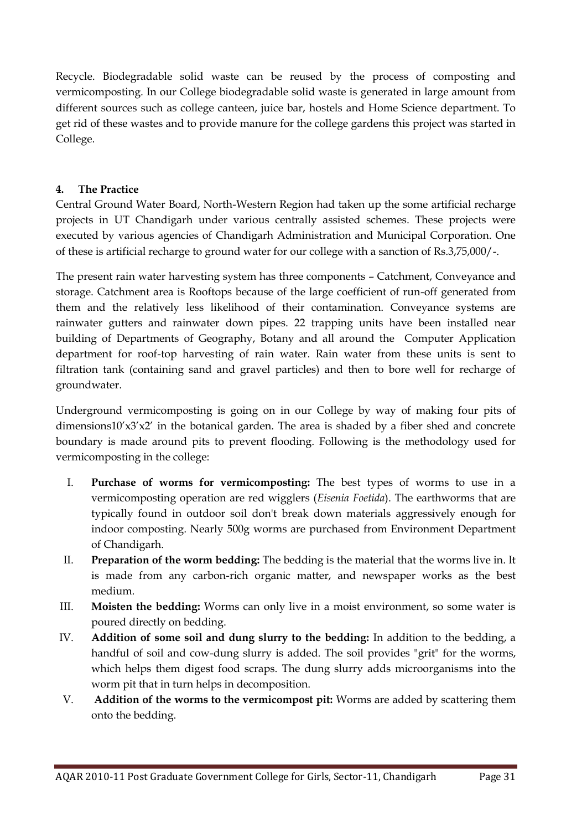Recycle. Biodegradable solid waste can be reused by the process of composting and vermicomposting. In our College biodegradable solid waste is generated in large amount from different sources such as college canteen, juice bar, hostels and Home Science department. To get rid of these wastes and to provide manure for the college gardens this project was started in College.

# **4. The Practice**

Central Ground Water Board, North-Western Region had taken up the some artificial recharge projects in UT Chandigarh under various centrally assisted schemes. These projects were executed by various agencies of Chandigarh Administration and Municipal Corporation. One of these is artificial recharge to ground water for our college with a sanction of Rs.3,75,000/-.

The present rain water harvesting system has three components – Catchment, Conveyance and storage. Catchment area is Rooftops because of the large coefficient of run-off generated from them and the relatively less likelihood of their contamination. Conveyance systems are rainwater gutters and rainwater down pipes. 22 trapping units have been installed near building of Departments of Geography, Botany and all around the Computer Application department for roof-top harvesting of rain water. Rain water from these units is sent to filtration tank (containing sand and gravel particles) and then to bore well for recharge of groundwater.

Underground vermicomposting is going on in our College by way of making four pits of dimensions10'x3'x2' in the botanical garden. The area is shaded by a fiber shed and concrete boundary is made around pits to prevent flooding. Following is the methodology used for vermicomposting in the college:

- I. **Purchase of worms for vermicomposting:** The best types of worms to use in a vermicomposting operation are red wigglers (*Eisenia Foetida*). The earthworms that are typically found in outdoor soil don't break down materials aggressively enough for indoor composting. Nearly 500g worms are purchased from Environment Department of Chandigarh.
- II. **Preparation of the worm bedding:** The bedding is the material that the worms live in. It is made from any carbon-rich organic matter, and newspaper works as the best medium.
- III. **Moisten the bedding:** Worms can only live in a moist environment, so some water is poured directly on bedding.
- IV. **Addition of some soil and dung slurry to the bedding:** In addition to the bedding, a handful of soil and cow-dung slurry is added. The soil provides "grit" for the worms, which helps them digest food scraps. The dung slurry adds microorganisms into the worm pit that in turn helps in decomposition.
- V. **Addition of the worms to the vermicompost pit:** Worms are added by scattering them onto the bedding.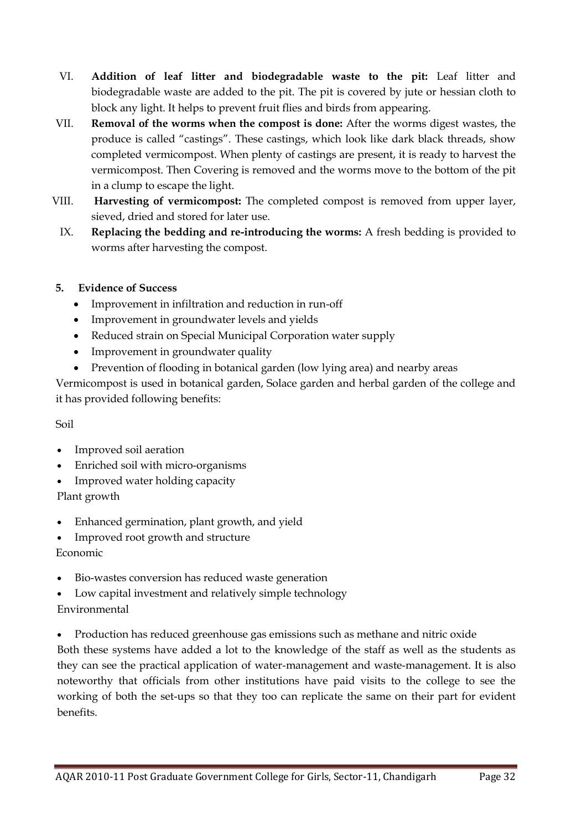- VI. **Addition of leaf litter and biodegradable waste to the pit:** Leaf litter and biodegradable waste are added to the pit. The pit is covered by jute or hessian cloth to block any light. It helps to prevent fruit flies and birds from appearing.
- VII. **Removal of the worms when the compost is done:** After the worms digest wastes, the produce is called "castings". These castings, which look like dark black threads, show completed vermicompost. When plenty of castings are present, it is ready to harvest the vermicompost. Then Covering is removed and the worms move to the bottom of the pit in a clump to escape the light.
- VIII. **Harvesting of vermicompost:** The completed compost is removed from upper layer, sieved, dried and stored for later use.
- IX. **Replacing the bedding and re-introducing the worms:** A fresh bedding is provided to worms after harvesting the compost.
- **5. Evidence of Success** 
	- Improvement in infiltration and reduction in run-off
	- Improvement in groundwater levels and yields
	- Reduced strain on Special Municipal Corporation water supply
	- Improvement in groundwater quality
	- Prevention of flooding in botanical garden (low lying area) and nearby areas

Vermicompost is used in botanical garden, Solace garden and herbal garden of the college and it has provided following benefits:

Soil

- Improved soil aeration
- Enriched soil with micro-organisms
- Improved water holding capacity

Plant growth

- Enhanced germination, plant growth, and yield
- Improved root growth and structure Economic
- Bio-wastes conversion has reduced waste generation
- Low capital investment and relatively simple technology Environmental
- Production has reduced greenhouse gas emissions such as methane and nitric oxide

Both these systems have added a lot to the knowledge of the staff as well as the students as they can see the practical application of water-management and waste-management. It is also noteworthy that officials from other institutions have paid visits to the college to see the working of both the set-ups so that they too can replicate the same on their part for evident benefits.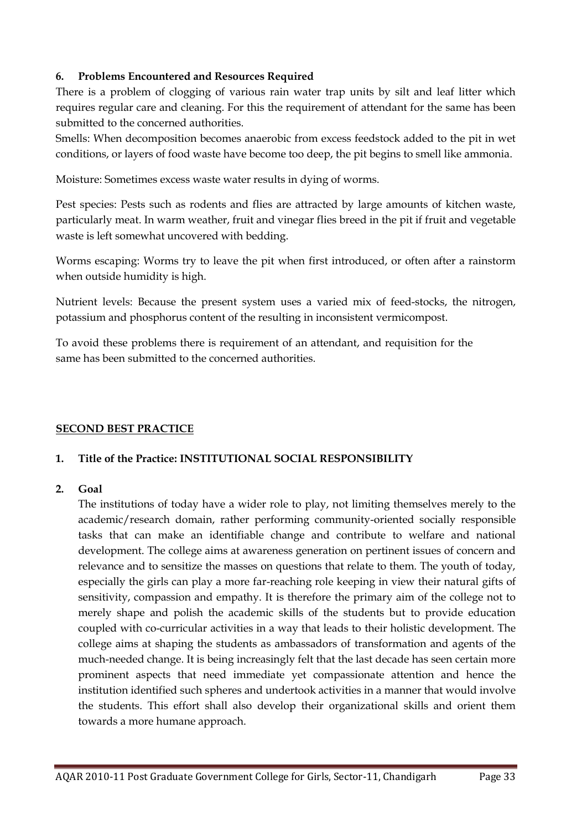# **6. Problems Encountered and Resources Required**

There is a problem of clogging of various rain water trap units by silt and leaf litter which requires regular care and cleaning. For this the requirement of attendant for the same has been submitted to the concerned authorities.

Smells: When decomposition becomes anaerobic from excess feedstock added to the pit in wet conditions, or layers of food waste have become too deep, the pit begins to smell like ammonia.

Moisture: Sometimes excess waste water results in dying of worms.

Pest species: Pests such as rodents and flies are attracted by large amounts of kitchen waste, particularly meat. In warm weather, fruit and vinegar flies breed in the pit if fruit and vegetable waste is left somewhat uncovered with bedding.

Worms escaping: Worms try to leave the pit when first introduced, or often after a rainstorm when outside humidity is high.

Nutrient levels: Because the present system uses a varied mix of feed-stocks, the nitrogen, potassium and phosphorus content of the resulting in inconsistent vermicompost.

To avoid these problems there is requirement of an attendant, and requisition for the same has been submitted to the concerned authorities.

# **SECOND BEST PRACTICE**

# **1. Title of the Practice: INSTITUTIONAL SOCIAL RESPONSIBILITY**

# **2. Goal**

The institutions of today have a wider role to play, not limiting themselves merely to the academic/research domain, rather performing community-oriented socially responsible tasks that can make an identifiable change and contribute to welfare and national development. The college aims at awareness generation on pertinent issues of concern and relevance and to sensitize the masses on questions that relate to them. The youth of today, especially the girls can play a more far-reaching role keeping in view their natural gifts of sensitivity, compassion and empathy. It is therefore the primary aim of the college not to merely shape and polish the academic skills of the students but to provide education coupled with co-curricular activities in a way that leads to their holistic development. The college aims at shaping the students as ambassadors of transformation and agents of the much-needed change. It is being increasingly felt that the last decade has seen certain more prominent aspects that need immediate yet compassionate attention and hence the institution identified such spheres and undertook activities in a manner that would involve the students. This effort shall also develop their organizational skills and orient them towards a more humane approach.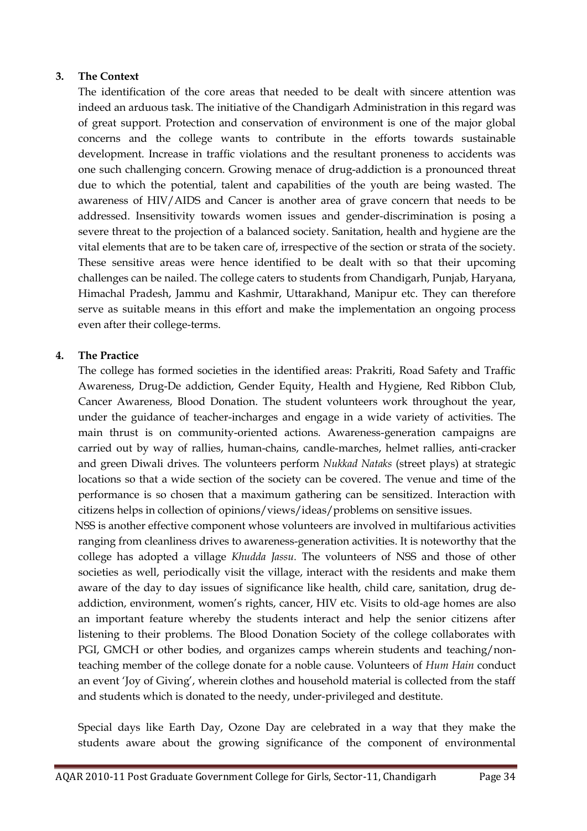## **3. The Context**

The identification of the core areas that needed to be dealt with sincere attention was indeed an arduous task. The initiative of the Chandigarh Administration in this regard was of great support. Protection and conservation of environment is one of the major global concerns and the college wants to contribute in the efforts towards sustainable development. Increase in traffic violations and the resultant proneness to accidents was one such challenging concern. Growing menace of drug-addiction is a pronounced threat due to which the potential, talent and capabilities of the youth are being wasted. The awareness of HIV/AIDS and Cancer is another area of grave concern that needs to be addressed. Insensitivity towards women issues and gender-discrimination is posing a severe threat to the projection of a balanced society. Sanitation, health and hygiene are the vital elements that are to be taken care of, irrespective of the section or strata of the society. These sensitive areas were hence identified to be dealt with so that their upcoming challenges can be nailed. The college caters to students from Chandigarh, Punjab, Haryana, Himachal Pradesh, Jammu and Kashmir, Uttarakhand, Manipur etc. They can therefore serve as suitable means in this effort and make the implementation an ongoing process even after their college-terms.

## **4. The Practice**

The college has formed societies in the identified areas: Prakriti, Road Safety and Traffic Awareness, Drug-De addiction, Gender Equity, Health and Hygiene, Red Ribbon Club, Cancer Awareness, Blood Donation. The student volunteers work throughout the year, under the guidance of teacher-incharges and engage in a wide variety of activities. The main thrust is on community-oriented actions. Awareness-generation campaigns are carried out by way of rallies, human-chains, candle-marches, helmet rallies, anti-cracker and green Diwali drives. The volunteers perform *Nukkad Nataks* (street plays) at strategic locations so that a wide section of the society can be covered. The venue and time of the performance is so chosen that a maximum gathering can be sensitized. Interaction with citizens helps in collection of opinions/views/ideas/problems on sensitive issues.

 NSS is another effective component whose volunteers are involved in multifarious activities ranging from cleanliness drives to awareness-generation activities. It is noteworthy that the college has adopted a village *Khudda Jassu.* The volunteers of NSS and those of other societies as well, periodically visit the village, interact with the residents and make them aware of the day to day issues of significance like health, child care, sanitation, drug deaddiction, environment, women's rights, cancer, HIV etc. Visits to old-age homes are also an important feature whereby the students interact and help the senior citizens after listening to their problems. The Blood Donation Society of the college collaborates with PGI, GMCH or other bodies, and organizes camps wherein students and teaching/nonteaching member of the college donate for a noble cause. Volunteers of *Hum Hain* conduct an event 'Joy of Giving', wherein clothes and household material is collected from the staff and students which is donated to the needy, under-privileged and destitute.

Special days like Earth Day, Ozone Day are celebrated in a way that they make the students aware about the growing significance of the component of environmental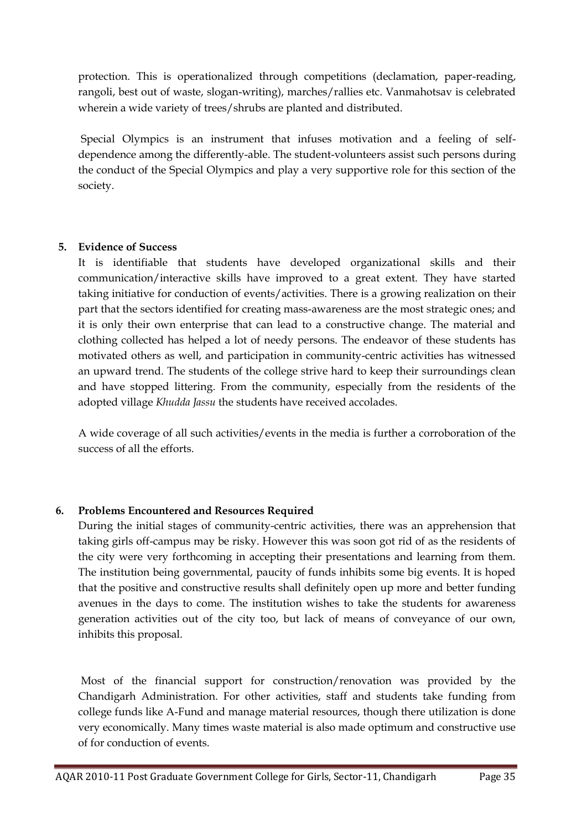protection. This is operationalized through competitions (declamation, paper-reading, rangoli, best out of waste, slogan-writing), marches/rallies etc. Vanmahotsav is celebrated wherein a wide variety of trees/shrubs are planted and distributed.

Special Olympics is an instrument that infuses motivation and a feeling of selfdependence among the differently-able. The student-volunteers assist such persons during the conduct of the Special Olympics and play a very supportive role for this section of the society.

# **5. Evidence of Success**

It is identifiable that students have developed organizational skills and their communication/interactive skills have improved to a great extent. They have started taking initiative for conduction of events/activities. There is a growing realization on their part that the sectors identified for creating mass-awareness are the most strategic ones; and it is only their own enterprise that can lead to a constructive change. The material and clothing collected has helped a lot of needy persons. The endeavor of these students has motivated others as well, and participation in community-centric activities has witnessed an upward trend. The students of the college strive hard to keep their surroundings clean and have stopped littering. From the community, especially from the residents of the adopted village *Khudda Jassu* the students have received accolades.

A wide coverage of all such activities/events in the media is further a corroboration of the success of all the efforts.

# **6. Problems Encountered and Resources Required**

During the initial stages of community-centric activities, there was an apprehension that taking girls off-campus may be risky. However this was soon got rid of as the residents of the city were very forthcoming in accepting their presentations and learning from them. The institution being governmental, paucity of funds inhibits some big events. It is hoped that the positive and constructive results shall definitely open up more and better funding avenues in the days to come. The institution wishes to take the students for awareness generation activities out of the city too, but lack of means of conveyance of our own, inhibits this proposal.

Most of the financial support for construction/renovation was provided by the Chandigarh Administration. For other activities, staff and students take funding from college funds like A-Fund and manage material resources, though there utilization is done very economically. Many times waste material is also made optimum and constructive use of for conduction of events.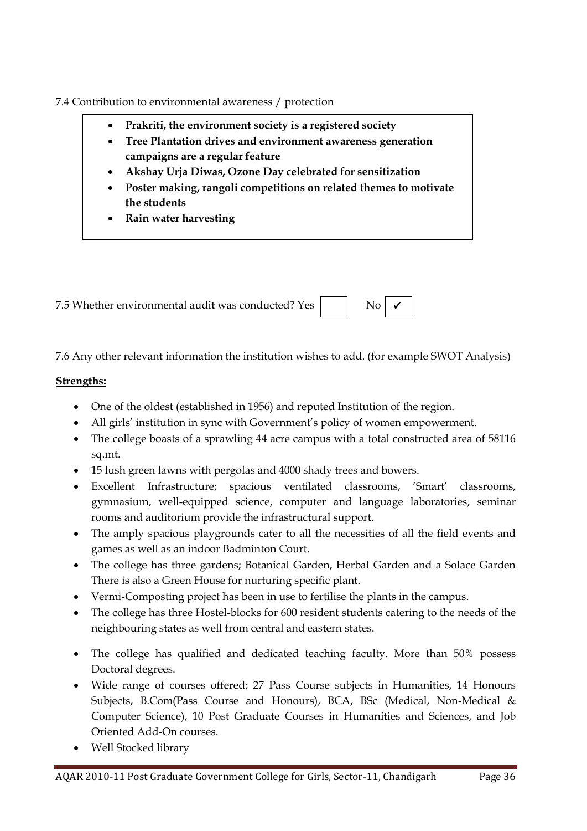7.4 Contribution to environmental awareness / protection

- **Prakriti, the environment society is a registered society**
- **Tree Plantation drives and environment awareness generation campaigns are a regular feature**
- **Akshay Urja Diwas, Ozone Day celebrated for sensitization**
- **Poster making, rangoli competitions on related themes to motivate the students**
- **Rain water harvesting**

7.5 Whether environmental audit was conducted? Yes  $\mathrm{No} \mid \checkmark$ 

7.6 Any other relevant information the institution wishes to add. (for example SWOT Analysis)

# **Strengths:**

- One of the oldest (established in 1956) and reputed Institution of the region.
- All girls' institution in sync with Government's policy of women empowerment.
- The college boasts of a sprawling 44 acre campus with a total constructed area of 58116 sq.mt.
- 15 lush green lawns with pergolas and 4000 shady trees and bowers.
- Excellent Infrastructure; spacious ventilated classrooms, 'Smart' classrooms, gymnasium, well-equipped science, computer and language laboratories, seminar rooms and auditorium provide the infrastructural support.
- The amply spacious playgrounds cater to all the necessities of all the field events and games as well as an indoor Badminton Court.
- The college has three gardens; Botanical Garden, Herbal Garden and a Solace Garden There is also a Green House for nurturing specific plant.
- Vermi-Composting project has been in use to fertilise the plants in the campus.
- The college has three Hostel-blocks for 600 resident students catering to the needs of the neighbouring states as well from central and eastern states.
- The college has qualified and dedicated teaching faculty. More than 50% possess Doctoral degrees.
- Wide range of courses offered; 27 Pass Course subjects in Humanities, 14 Honours Subjects, B.Com(Pass Course and Honours), BCA, BSc (Medical, Non-Medical & Computer Science), 10 Post Graduate Courses in Humanities and Sciences, and Job Oriented Add-On courses.
- Well Stocked library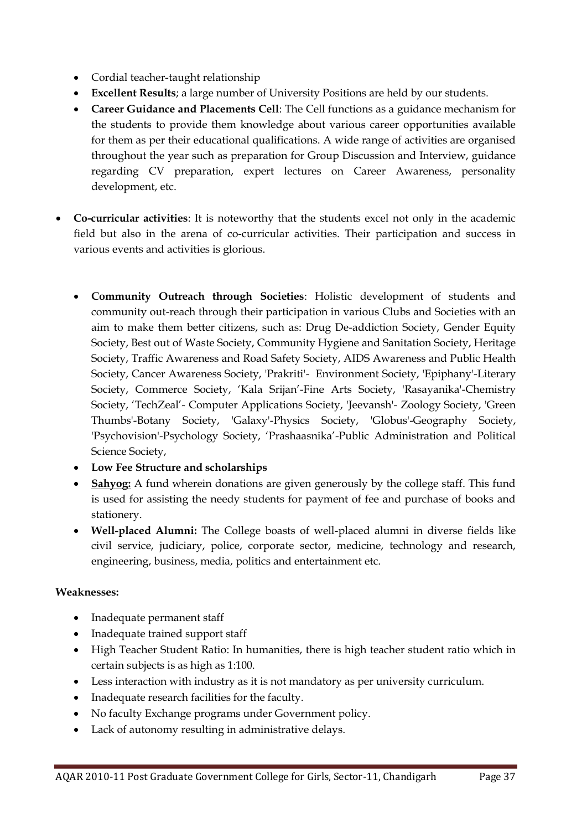- Cordial teacher-taught relationship
- **Excellent Results**; a large number of University Positions are held by our students.
- **Career Guidance and Placements Cell**: The Cell functions as a guidance mechanism for the students to provide them knowledge about various career opportunities available for them as per their educational qualifications. A wide range of activities are organised throughout the year such as preparation for Group Discussion and Interview, guidance regarding CV preparation, expert lectures on Career Awareness, personality development, etc.
- **Co-curricular activities**: It is noteworthy that the students excel not only in the academic field but also in the arena of co-curricular activities. Their participation and success in various events and activities is glorious.
	- **Community Outreach through Societies**: Holistic development of students and community out-reach through their participation in various Clubs and Societies with an aim to make them better citizens, such as: Drug De-addiction Society, Gender Equity Society, Best out of Waste Society, Community Hygiene and Sanitation Society, Heritage Society, Traffic Awareness and Road Safety Society, AIDS Awareness and Public Health Society, Cancer Awareness Society, 'Prakriti'- Environment Society, 'Epiphany'-Literary Society, Commerce Society, 'Kala Srijan'-Fine Arts Society, 'Rasayanika'-Chemistry Society, 'TechZeal'- Computer Applications Society, 'Jeevansh'- Zoology Society, 'Green Thumbs'-Botany Society, 'Galaxy'-Physics Society, 'Globus'-Geography Society, 'Psychovision'-Psychology Society, 'Prashaasnika'-Public Administration and Political Science Society,
	- **Low Fee Structure and scholarships**
	- **Sahyog:** A fund wherein donations are given generously by the college staff. This fund is used for assisting the needy students for payment of fee and purchase of books and stationery.
	- **Well-placed Alumni:** The College boasts of well-placed alumni in diverse fields like civil service, judiciary, police, corporate sector, medicine, technology and research, engineering, business, media, politics and entertainment etc.

# **Weaknesses:**

- Inadequate permanent staff
- Inadequate trained support staff
- High Teacher Student Ratio: In humanities, there is high teacher student ratio which in certain subjects is as high as 1:100.
- Less interaction with industry as it is not mandatory as per university curriculum.
- Inadequate research facilities for the faculty.
- No faculty Exchange programs under Government policy.
- Lack of autonomy resulting in administrative delays.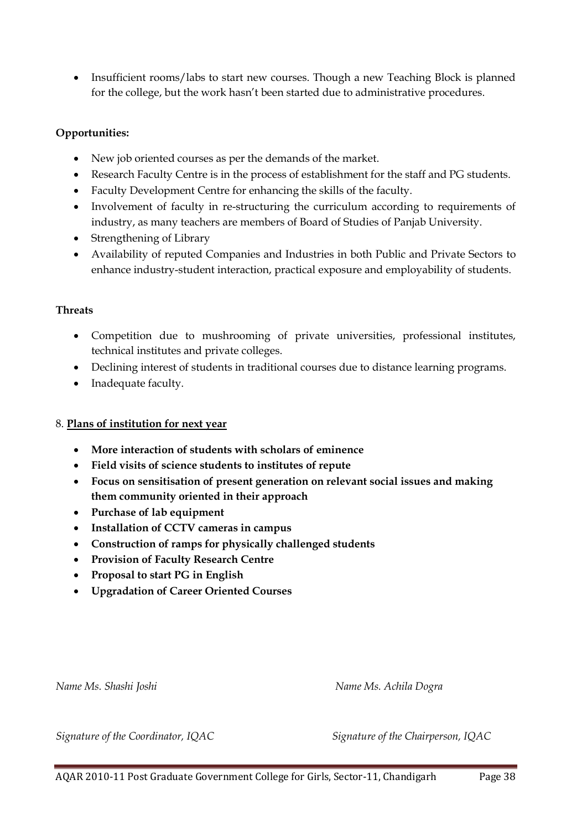• Insufficient rooms/labs to start new courses. Though a new Teaching Block is planned for the college, but the work hasn't been started due to administrative procedures.

# **Opportunities:**

- New job oriented courses as per the demands of the market.
- Research Faculty Centre is in the process of establishment for the staff and PG students.
- Faculty Development Centre for enhancing the skills of the faculty.
- Involvement of faculty in re-structuring the curriculum according to requirements of industry, as many teachers are members of Board of Studies of Panjab University.
- Strengthening of Library
- Availability of reputed Companies and Industries in both Public and Private Sectors to enhance industry-student interaction, practical exposure and employability of students.

# **Threats**

- Competition due to mushrooming of private universities, professional institutes, technical institutes and private colleges.
- Declining interest of students in traditional courses due to distance learning programs.
- Inadequate faculty.

# 8. **Plans of institution for next year**

- **More interaction of students with scholars of eminence**
- **Field visits of science students to institutes of repute**
- **Focus on sensitisation of present generation on relevant social issues and making them community oriented in their approach**
- **Purchase of lab equipment**
- **Installation of CCTV cameras in campus**
- **Construction of ramps for physically challenged students**
- **Provision of Faculty Research Centre**
- **Proposal to start PG in English**
- **Upgradation of Career Oriented Courses**

*Name Ms. Shashi Joshi Name Ms. Achila Dogra*

*Signature of the Coordinator, IQAC Signature of the Chairperson, IQAC*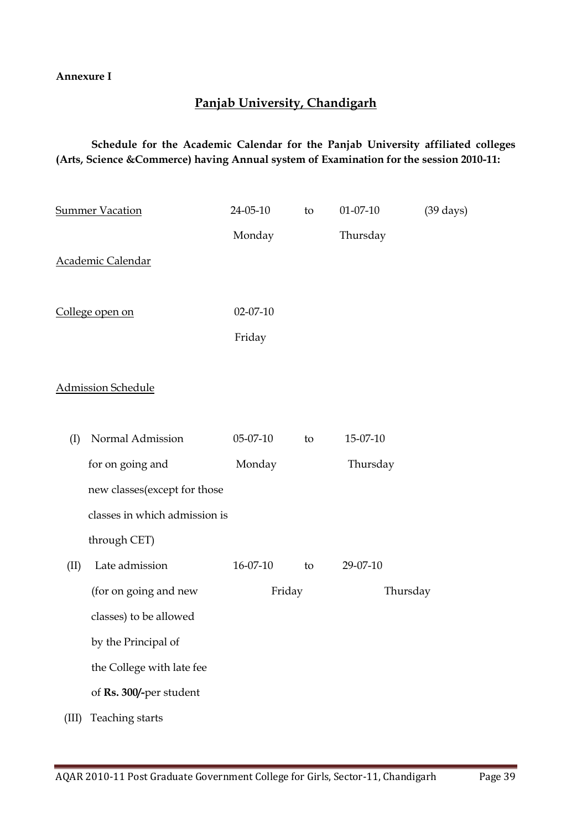## **Annexure I**

# **Panjab University, Chandigarh**

# **Schedule for the Academic Calendar for the Panjab University affiliated colleges (Arts, Science &Commerce) having Annual system of Examination for the session 2010-11:**

|                 | <b>Summer Vacation</b>        | 24-05-10       | to | $01 - 07 - 10$ | $(39 \text{ days})$ |
|-----------------|-------------------------------|----------------|----|----------------|---------------------|
|                 |                               | Monday         |    | Thursday       |                     |
|                 | Academic Calendar             |                |    |                |                     |
|                 |                               |                |    |                |                     |
| College open on |                               | $02 - 07 - 10$ |    |                |                     |
|                 |                               | Friday         |    |                |                     |
|                 |                               |                |    |                |                     |
|                 | <b>Admission Schedule</b>     |                |    |                |                     |
|                 |                               |                |    |                |                     |
| (I)             | Normal Admission              | 05-07-10       | to | 15-07-10       |                     |
|                 | for on going and              | Monday         |    | Thursday       |                     |
|                 | new classes(except for those  |                |    |                |                     |
|                 | classes in which admission is |                |    |                |                     |
|                 | through CET)                  |                |    |                |                     |
| (II)            | Late admission                | 16-07-10       | to | 29-07-10       |                     |
|                 | (for on going and new         | Friday         |    | Thursday       |                     |
|                 | classes) to be allowed        |                |    |                |                     |
|                 | by the Principal of           |                |    |                |                     |
|                 | the College with late fee     |                |    |                |                     |
|                 | of Rs. 300/-per student       |                |    |                |                     |
| (III)           | Teaching starts               |                |    |                |                     |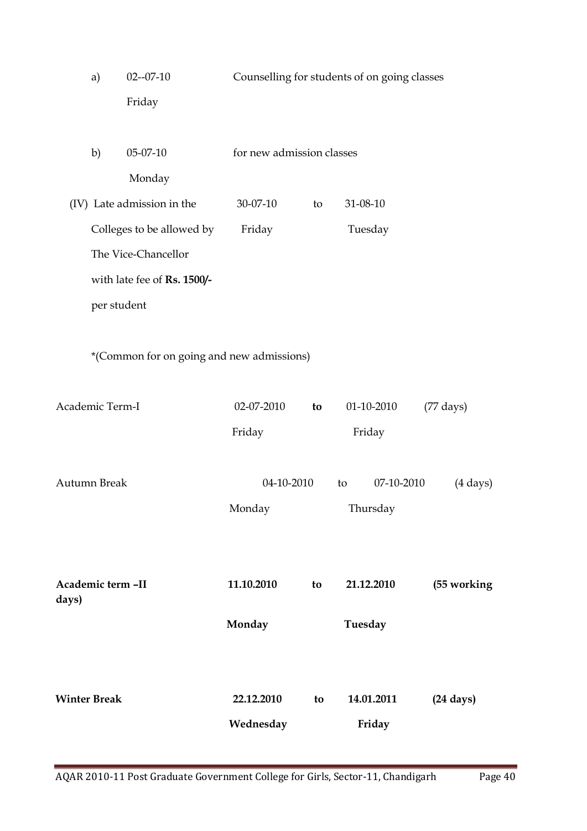|                     | a)          | $02 - 07 - 10$                            | Counselling for students of on going classes |    |            |                    |                     |
|---------------------|-------------|-------------------------------------------|----------------------------------------------|----|------------|--------------------|---------------------|
|                     |             | Friday                                    |                                              |    |            |                    |                     |
|                     |             |                                           |                                              |    |            |                    |                     |
|                     | b)          | 05-07-10                                  | for new admission classes                    |    |            |                    |                     |
|                     |             | Monday                                    |                                              |    |            |                    |                     |
|                     |             | (IV) Late admission in the                | 30-07-10                                     | to | 31-08-10   |                    |                     |
|                     |             | Colleges to be allowed by                 | Friday                                       |    | Tuesday    |                    |                     |
|                     |             | The Vice-Chancellor                       |                                              |    |            |                    |                     |
|                     |             | with late fee of Rs. 1500/-               |                                              |    |            |                    |                     |
|                     | per student |                                           |                                              |    |            |                    |                     |
|                     |             |                                           |                                              |    |            |                    |                     |
|                     |             | *(Common for on going and new admissions) |                                              |    |            |                    |                     |
|                     |             |                                           |                                              |    |            |                    |                     |
| Academic Term-I     |             |                                           | 02-07-2010                                   | to | 01-10-2010 |                    | $(77 \text{ days})$ |
|                     |             |                                           | Friday                                       |    | Friday     |                    |                     |
|                     |             |                                           |                                              |    |            |                    |                     |
| <b>Autumn Break</b> |             | 04-10-2010                                |                                              | to | 07-10-2010 | $(4 \text{ days})$ |                     |
|                     |             |                                           | Monday                                       |    | Thursday   |                    |                     |
|                     |             |                                           |                                              |    |            |                    |                     |
|                     |             |                                           |                                              |    |            |                    |                     |
| Academic term -II   |             |                                           | 11.10.2010                                   | to | 21.12.2010 |                    | (55 working         |
| days)               |             |                                           |                                              |    |            |                    |                     |
|                     |             |                                           | Monday                                       |    | Tuesday    |                    |                     |
|                     |             |                                           |                                              |    |            |                    |                     |
|                     |             |                                           |                                              |    |            |                    |                     |
| <b>Winter Break</b> |             |                                           | 22.12.2010                                   | to | 14.01.2011 |                    | $(24 \text{ days})$ |
|                     |             |                                           | Wednesday                                    |    | Friday     |                    |                     |